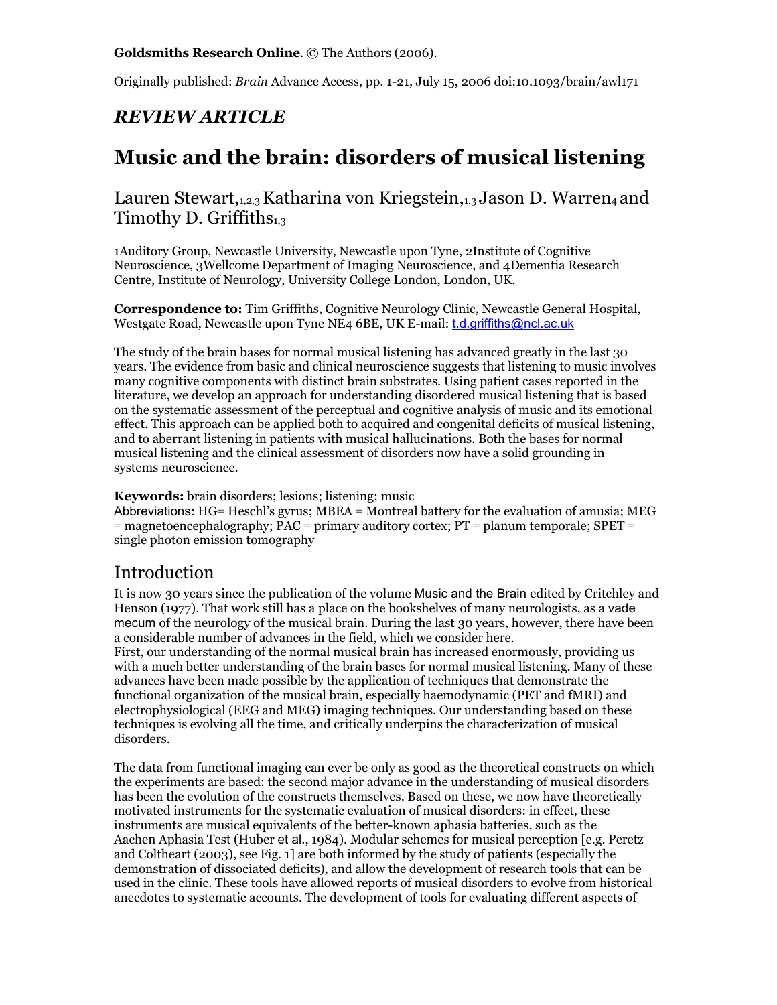Originally published: *Brain* Advance Access, pp. 1-21, July 15, 2006 doi:10.1093/brain/awl171

# *REVIEW ARTICLE*

# **Music and the brain: disorders of musical listening**

### Lauren Stewart,  $1,2,3$  Katharina von Kriegstein,  $1,3$  Jason D. Warren<sub>4</sub> and Timothy D. Griffith $s_{1,3}$

1Auditory Group, Newcastle University, Newcastle upon Tyne, 2Institute of Cognitive Neuroscience, 3Wellcome Department of Imaging Neuroscience, and 4Dementia Research Centre, Institute of Neurology, University College London, London, UK.

**Correspondence to:** Tim Griffiths, Cognitive Neurology Clinic, Newcastle General Hospital, Westgate Road, Newcastle upon Tyne NE4 6BE, UK E-mail: t.d.griffiths@ncl.ac.uk

The study of the brain bases for normal musical listening has advanced greatly in the last 30 years. The evidence from basic and clinical neuroscience suggests that listening to music involves many cognitive components with distinct brain substrates. Using patient cases reported in the literature, we develop an approach for understanding disordered musical listening that is based on the systematic assessment of the perceptual and cognitive analysis of music and its emotional effect. This approach can be applied both to acquired and congenital deficits of musical listening, and to aberrant listening in patients with musical hallucinations. Both the bases for normal musical listening and the clinical assessment of disorders now have a solid grounding in systems neuroscience.

**Keywords:** brain disorders; lesions; listening; music

Abbreviations: HG= Heschl's gyrus; MBEA = Montreal battery for the evaluation of amusia; MEG  $=$  magnetoencephalography; PAC  $=$  primary auditory cortex; PT  $=$  planum temporale; SPET  $=$ single photon emission tomography

# Introduction

It is now 30 years since the publication of the volume Music and the Brain edited by Critchley and Henson (1977). That work still has a place on the bookshelves of many neurologists, as a vade mecum of the neurology of the musical brain. During the last 30 years, however, there have been a considerable number of advances in the field, which we consider here.

First, our understanding of the normal musical brain has increased enormously, providing us with a much better understanding of the brain bases for normal musical listening. Many of these advances have been made possible by the application of techniques that demonstrate the functional organization of the musical brain, especially haemodynamic (PET and fMRI) and electrophysiological (EEG and MEG) imaging techniques. Our understanding based on these techniques is evolving all the time, and critically underpins the characterization of musical disorders.

The data from functional imaging can ever be only as good as the theoretical constructs on which the experiments are based: the second major advance in the understanding of musical disorders has been the evolution of the constructs themselves. Based on these, we now have theoretically motivated instruments for the systematic evaluation of musical disorders: in effect, these instruments are musical equivalents of the better-known aphasia batteries, such as the Aachen Aphasia Test (Huber et al., 1984). Modular schemes for musical perception [e.g. Peretz and Coltheart (2003), see Fig. 1] are both informed by the study of patients (especially the demonstration of dissociated deficits), and allow the development of research tools that can be used in the clinic. These tools have allowed reports of musical disorders to evolve from historical anecdotes to systematic accounts. The development of tools for evaluating different aspects of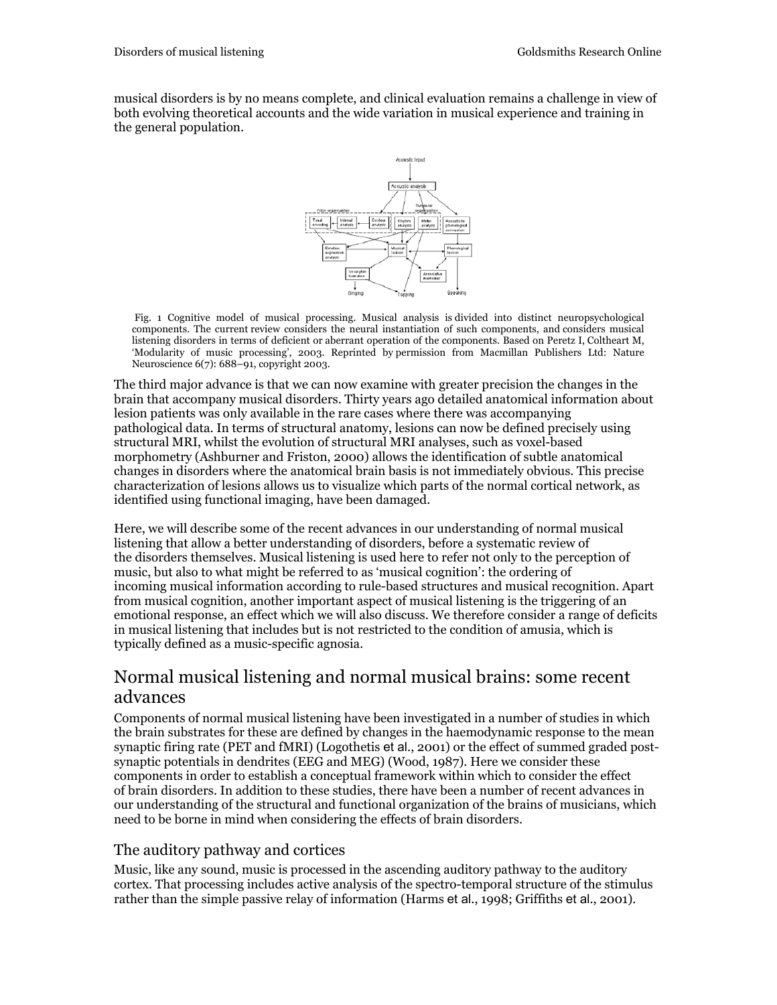musical disorders is by no means complete, and clinical evaluation remains a challenge in view of both evolving theoretical accounts and the wide variation in musical experience and training in the general population.



 Fig. 1 Cognitive model of musical processing. Musical analysis is divided into distinct neuropsychological components. The current review considers the neural instantiation of such components, and considers musical listening disorders in terms of deficient or aberrant operation of the components. Based on Peretz I, Coltheart M, 'Modularity of music processing', 2003. Reprinted by permission from Macmillan Publishers Ltd: Nature Neuroscience 6(7): 688–91, copyright 2003.

The third major advance is that we can now examine with greater precision the changes in the brain that accompany musical disorders. Thirty years ago detailed anatomical information about lesion patients was only available in the rare cases where there was accompanying pathological data. In terms of structural anatomy, lesions can now be defined precisely using structural MRI, whilst the evolution of structural MRI analyses, such as voxel-based morphometry (Ashburner and Friston, 2000) allows the identification of subtle anatomical changes in disorders where the anatomical brain basis is not immediately obvious. This precise characterization of lesions allows us to visualize which parts of the normal cortical network, as identified using functional imaging, have been damaged.

Here, we will describe some of the recent advances in our understanding of normal musical listening that allow a better understanding of disorders, before a systematic review of the disorders themselves. Musical listening is used here to refer not only to the perception of music, but also to what might be referred to as 'musical cognition': the ordering of incoming musical information according to rule-based structures and musical recognition. Apart from musical cognition, another important aspect of musical listening is the triggering of an emotional response, an effect which we will also discuss. We therefore consider a range of deficits in musical listening that includes but is not restricted to the condition of amusia, which is typically defined as a music-specific agnosia.

### Normal musical listening and normal musical brains: some recent advances

Components of normal musical listening have been investigated in a number of studies in which the brain substrates for these are defined by changes in the haemodynamic response to the mean synaptic firing rate (PET and fMRI) (Logothetis et al., 2001) or the effect of summed graded postsynaptic potentials in dendrites (EEG and MEG) (Wood, 1987). Here we consider these components in order to establish a conceptual framework within which to consider the effect of brain disorders. In addition to these studies, there have been a number of recent advances in our understanding of the structural and functional organization of the brains of musicians, which need to be borne in mind when considering the effects of brain disorders.

#### The auditory pathway and cortices

Music, like any sound, music is processed in the ascending auditory pathway to the auditory cortex. That processing includes active analysis of the spectro-temporal structure of the stimulus rather than the simple passive relay of information (Harms et al., 1998; Griffiths et al., 2001).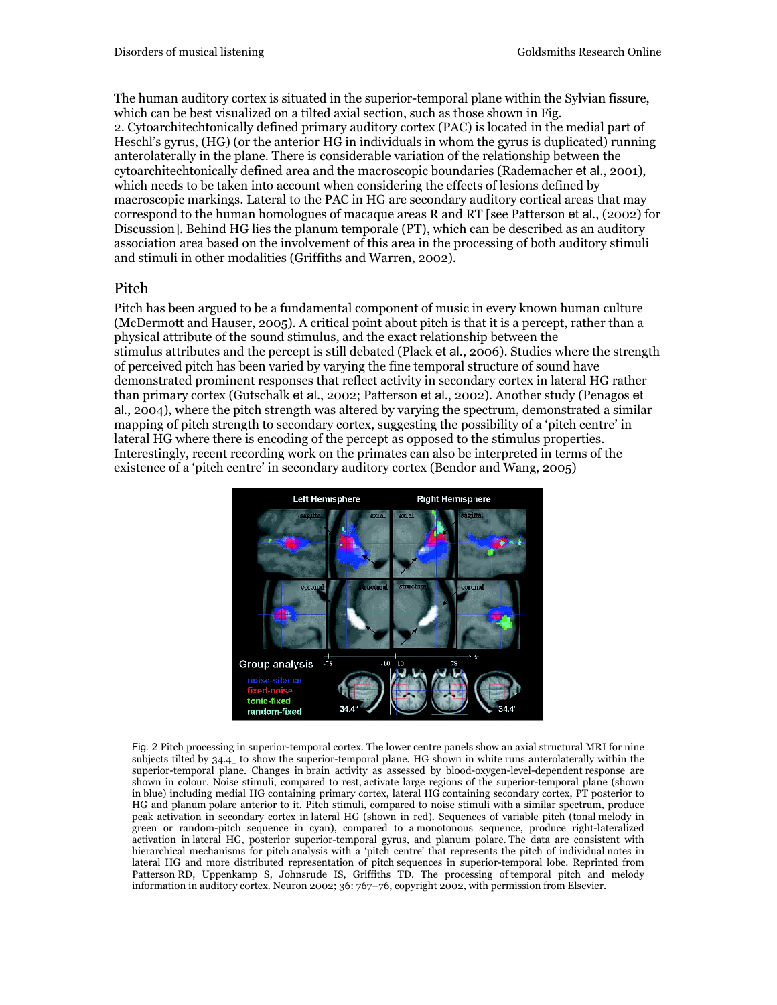The human auditory cortex is situated in the superior-temporal plane within the Sylvian fissure, which can be best visualized on a tilted axial section, such as those shown in Fig. 2. Cytoarchitechtonically defined primary auditory cortex (PAC) is located in the medial part of Heschl's gyrus, (HG) (or the anterior HG in individuals in whom the gyrus is duplicated) running anterolaterally in the plane. There is considerable variation of the relationship between the cytoarchitechtonically defined area and the macroscopic boundaries (Rademacher et al., 2001), which needs to be taken into account when considering the effects of lesions defined by macroscopic markings. Lateral to the PAC in HG are secondary auditory cortical areas that may correspond to the human homologues of macaque areas R and RT [see Patterson et al., (2002) for Discussion]. Behind HG lies the planum temporale (PT), which can be described as an auditory association area based on the involvement of this area in the processing of both auditory stimuli and stimuli in other modalities (Griffiths and Warren, 2002).

#### Pitch

Pitch has been argued to be a fundamental component of music in every known human culture (McDermott and Hauser, 2005). A critical point about pitch is that it is a percept, rather than a physical attribute of the sound stimulus, and the exact relationship between the stimulus attributes and the percept is still debated (Plack et al., 2006). Studies where the strength of perceived pitch has been varied by varying the fine temporal structure of sound have demonstrated prominent responses that reflect activity in secondary cortex in lateral HG rather than primary cortex (Gutschalk et al., 2002; Patterson et al., 2002). Another study (Penagos et al., 2004), where the pitch strength was altered by varying the spectrum, demonstrated a similar mapping of pitch strength to secondary cortex, suggesting the possibility of a 'pitch centre' in lateral HG where there is encoding of the percept as opposed to the stimulus properties. Interestingly, recent recording work on the primates can also be interpreted in terms of the existence of a 'pitch centre' in secondary auditory cortex (Bendor and Wang, 2005)



Fig. 2 Pitch processing in superior-temporal cortex. The lower centre panels show an axial structural MRI for nine subjects tilted by 34.4\_ to show the superior-temporal plane. HG shown in white runs anterolaterally within the superior-temporal plane. Changes in brain activity as assessed by blood-oxygen-level-dependent response are shown in colour. Noise stimuli, compared to rest, activate large regions of the superior-temporal plane (shown in blue) including medial HG containing primary cortex, lateral HG containing secondary cortex, PT posterior to HG and planum polare anterior to it. Pitch stimuli, compared to noise stimuli with a similar spectrum, produce peak activation in secondary cortex in lateral HG (shown in red). Sequences of variable pitch (tonal melody in green or random-pitch sequence in cyan), compared to a monotonous sequence, produce right-lateralized activation in lateral HG, posterior superior-temporal gyrus, and planum polare. The data are consistent with hierarchical mechanisms for pitch analysis with a 'pitch centre' that represents the pitch of individual notes in lateral HG and more distributed representation of pitch sequences in superior-temporal lobe. Reprinted from Patterson RD, Uppenkamp S, Johnsrude IS, Griffiths TD. The processing of temporal pitch and melody information in auditory cortex. Neuron 2002; 36: 767–76, copyright 2002, with permission from Elsevier.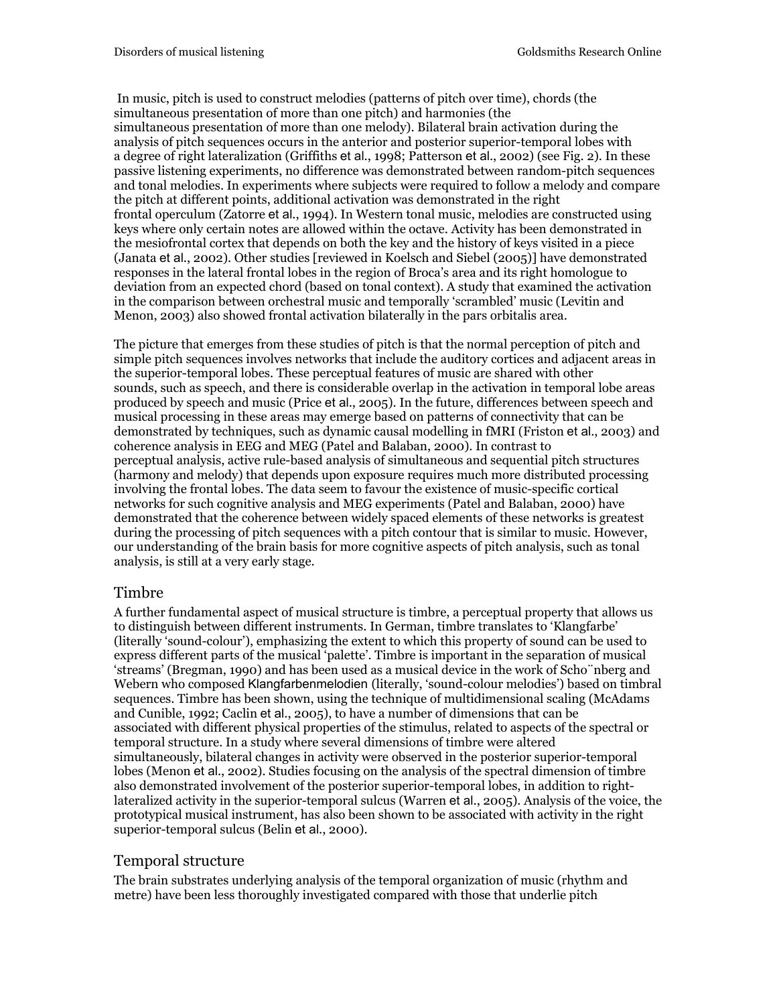In music, pitch is used to construct melodies (patterns of pitch over time), chords (the simultaneous presentation of more than one pitch) and harmonies (the simultaneous presentation of more than one melody). Bilateral brain activation during the analysis of pitch sequences occurs in the anterior and posterior superior-temporal lobes with a degree of right lateralization (Griffiths et al., 1998; Patterson et al., 2002) (see Fig. 2). In these passive listening experiments, no difference was demonstrated between random-pitch sequences and tonal melodies. In experiments where subjects were required to follow a melody and compare the pitch at different points, additional activation was demonstrated in the right frontal operculum (Zatorre et al., 1994). In Western tonal music, melodies are constructed using keys where only certain notes are allowed within the octave. Activity has been demonstrated in the mesiofrontal cortex that depends on both the key and the history of keys visited in a piece (Janata et al., 2002). Other studies [reviewed in Koelsch and Siebel (2005)] have demonstrated responses in the lateral frontal lobes in the region of Broca's area and its right homologue to deviation from an expected chord (based on tonal context). A study that examined the activation in the comparison between orchestral music and temporally 'scrambled' music (Levitin and Menon, 2003) also showed frontal activation bilaterally in the pars orbitalis area.

The picture that emerges from these studies of pitch is that the normal perception of pitch and simple pitch sequences involves networks that include the auditory cortices and adjacent areas in the superior-temporal lobes. These perceptual features of music are shared with other sounds, such as speech, and there is considerable overlap in the activation in temporal lobe areas produced by speech and music (Price et al., 2005). In the future, differences between speech and musical processing in these areas may emerge based on patterns of connectivity that can be demonstrated by techniques, such as dynamic causal modelling in fMRI (Friston et al., 2003) and coherence analysis in EEG and MEG (Patel and Balaban, 2000). In contrast to perceptual analysis, active rule-based analysis of simultaneous and sequential pitch structures (harmony and melody) that depends upon exposure requires much more distributed processing involving the frontal lobes. The data seem to favour the existence of music-specific cortical networks for such cognitive analysis and MEG experiments (Patel and Balaban, 2000) have demonstrated that the coherence between widely spaced elements of these networks is greatest during the processing of pitch sequences with a pitch contour that is similar to music. However, our understanding of the brain basis for more cognitive aspects of pitch analysis, such as tonal analysis, is still at a very early stage.

#### Timbre

A further fundamental aspect of musical structure is timbre, a perceptual property that allows us to distinguish between different instruments. In German, timbre translates to 'Klangfarbe' (literally 'sound-colour'), emphasizing the extent to which this property of sound can be used to express different parts of the musical 'palette'. Timbre is important in the separation of musical 'streams' (Bregman, 1990) and has been used as a musical device in the work of Scho¨nberg and Webern who composed Klangfarbenmelodien (literally, 'sound-colour melodies') based on timbral sequences. Timbre has been shown, using the technique of multidimensional scaling (McAdams and Cunible, 1992; Caclin et al., 2005), to have a number of dimensions that can be associated with different physical properties of the stimulus, related to aspects of the spectral or temporal structure. In a study where several dimensions of timbre were altered simultaneously, bilateral changes in activity were observed in the posterior superior-temporal lobes (Menon et al., 2002). Studies focusing on the analysis of the spectral dimension of timbre also demonstrated involvement of the posterior superior-temporal lobes, in addition to rightlateralized activity in the superior-temporal sulcus (Warren et al., 2005). Analysis of the voice, the prototypical musical instrument, has also been shown to be associated with activity in the right superior-temporal sulcus (Belin et al., 2000).

#### Temporal structure

The brain substrates underlying analysis of the temporal organization of music (rhythm and metre) have been less thoroughly investigated compared with those that underlie pitch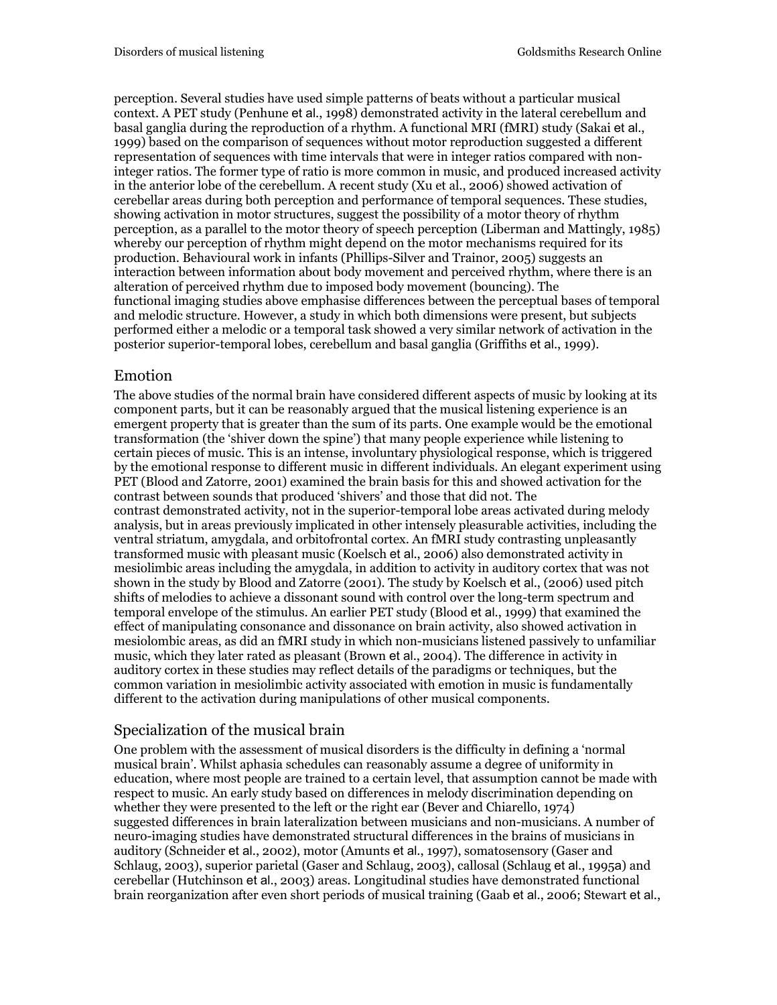perception. Several studies have used simple patterns of beats without a particular musical context. A PET study (Penhune et al., 1998) demonstrated activity in the lateral cerebellum and basal ganglia during the reproduction of a rhythm. A functional MRI (fMRI) study (Sakai et al., 1999) based on the comparison of sequences without motor reproduction suggested a different representation of sequences with time intervals that were in integer ratios compared with noninteger ratios. The former type of ratio is more common in music, and produced increased activity in the anterior lobe of the cerebellum. A recent study (Xu et al., 2006) showed activation of cerebellar areas during both perception and performance of temporal sequences. These studies, showing activation in motor structures, suggest the possibility of a motor theory of rhythm perception, as a parallel to the motor theory of speech perception (Liberman and Mattingly, 1985) whereby our perception of rhythm might depend on the motor mechanisms required for its production. Behavioural work in infants (Phillips-Silver and Trainor, 2005) suggests an interaction between information about body movement and perceived rhythm, where there is an alteration of perceived rhythm due to imposed body movement (bouncing). The functional imaging studies above emphasise differences between the perceptual bases of temporal and melodic structure. However, a study in which both dimensions were present, but subjects performed either a melodic or a temporal task showed a very similar network of activation in the posterior superior-temporal lobes, cerebellum and basal ganglia (Griffiths et al., 1999).

#### Emotion

The above studies of the normal brain have considered different aspects of music by looking at its component parts, but it can be reasonably argued that the musical listening experience is an emergent property that is greater than the sum of its parts. One example would be the emotional transformation (the 'shiver down the spine') that many people experience while listening to certain pieces of music. This is an intense, involuntary physiological response, which is triggered by the emotional response to different music in different individuals. An elegant experiment using PET (Blood and Zatorre, 2001) examined the brain basis for this and showed activation for the contrast between sounds that produced 'shivers' and those that did not. The contrast demonstrated activity, not in the superior-temporal lobe areas activated during melody analysis, but in areas previously implicated in other intensely pleasurable activities, including the ventral striatum, amygdala, and orbitofrontal cortex. An fMRI study contrasting unpleasantly transformed music with pleasant music (Koelsch et al., 2006) also demonstrated activity in mesiolimbic areas including the amygdala, in addition to activity in auditory cortex that was not shown in the study by Blood and Zatorre (2001). The study by Koelsch et al., (2006) used pitch shifts of melodies to achieve a dissonant sound with control over the long-term spectrum and temporal envelope of the stimulus. An earlier PET study (Blood et al., 1999) that examined the effect of manipulating consonance and dissonance on brain activity, also showed activation in mesiolombic areas, as did an fMRI study in which non-musicians listened passively to unfamiliar music, which they later rated as pleasant (Brown et al., 2004). The difference in activity in auditory cortex in these studies may reflect details of the paradigms or techniques, but the common variation in mesiolimbic activity associated with emotion in music is fundamentally different to the activation during manipulations of other musical components.

#### Specialization of the musical brain

One problem with the assessment of musical disorders is the difficulty in defining a 'normal musical brain'. Whilst aphasia schedules can reasonably assume a degree of uniformity in education, where most people are trained to a certain level, that assumption cannot be made with respect to music. An early study based on differences in melody discrimination depending on whether they were presented to the left or the right ear (Bever and Chiarello, 1974) suggested differences in brain lateralization between musicians and non-musicians. A number of neuro-imaging studies have demonstrated structural differences in the brains of musicians in auditory (Schneider et al., 2002), motor (Amunts et al., 1997), somatosensory (Gaser and Schlaug, 2003), superior parietal (Gaser and Schlaug, 2003), callosal (Schlaug et al., 1995a) and cerebellar (Hutchinson et al., 2003) areas. Longitudinal studies have demonstrated functional brain reorganization after even short periods of musical training (Gaab et al., 2006; Stewart et al.,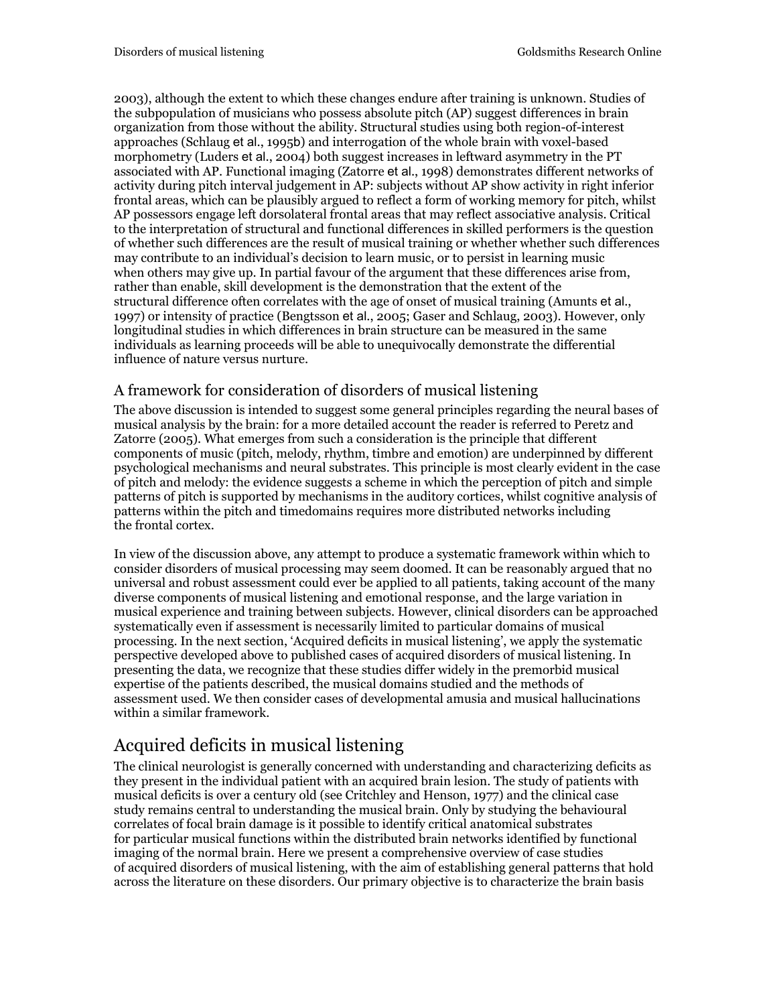2003), although the extent to which these changes endure after training is unknown. Studies of the subpopulation of musicians who possess absolute pitch (AP) suggest differences in brain organization from those without the ability. Structural studies using both region-of-interest approaches (Schlaug et al., 1995b) and interrogation of the whole brain with voxel-based morphometry (Luders et al., 2004) both suggest increases in leftward asymmetry in the PT associated with AP. Functional imaging (Zatorre et al., 1998) demonstrates different networks of activity during pitch interval judgement in AP: subjects without AP show activity in right inferior frontal areas, which can be plausibly argued to reflect a form of working memory for pitch, whilst AP possessors engage left dorsolateral frontal areas that may reflect associative analysis. Critical to the interpretation of structural and functional differences in skilled performers is the question of whether such differences are the result of musical training or whether whether such differences may contribute to an individual's decision to learn music, or to persist in learning music when others may give up. In partial favour of the argument that these differences arise from, rather than enable, skill development is the demonstration that the extent of the structural difference often correlates with the age of onset of musical training (Amunts et al., 1997) or intensity of practice (Bengtsson et al., 2005; Gaser and Schlaug, 2003). However, only longitudinal studies in which differences in brain structure can be measured in the same individuals as learning proceeds will be able to unequivocally demonstrate the differential influence of nature versus nurture.

#### A framework for consideration of disorders of musical listening

The above discussion is intended to suggest some general principles regarding the neural bases of musical analysis by the brain: for a more detailed account the reader is referred to Peretz and Zatorre (2005). What emerges from such a consideration is the principle that different components of music (pitch, melody, rhythm, timbre and emotion) are underpinned by different psychological mechanisms and neural substrates. This principle is most clearly evident in the case of pitch and melody: the evidence suggests a scheme in which the perception of pitch and simple patterns of pitch is supported by mechanisms in the auditory cortices, whilst cognitive analysis of patterns within the pitch and timedomains requires more distributed networks including the frontal cortex.

In view of the discussion above, any attempt to produce a systematic framework within which to consider disorders of musical processing may seem doomed. It can be reasonably argued that no universal and robust assessment could ever be applied to all patients, taking account of the many diverse components of musical listening and emotional response, and the large variation in musical experience and training between subjects. However, clinical disorders can be approached systematically even if assessment is necessarily limited to particular domains of musical processing. In the next section, 'Acquired deficits in musical listening', we apply the systematic perspective developed above to published cases of acquired disorders of musical listening. In presenting the data, we recognize that these studies differ widely in the premorbid musical expertise of the patients described, the musical domains studied and the methods of assessment used. We then consider cases of developmental amusia and musical hallucinations within a similar framework.

# Acquired deficits in musical listening

The clinical neurologist is generally concerned with understanding and characterizing deficits as they present in the individual patient with an acquired brain lesion. The study of patients with musical deficits is over a century old (see Critchley and Henson, 1977) and the clinical case study remains central to understanding the musical brain. Only by studying the behavioural correlates of focal brain damage is it possible to identify critical anatomical substrates for particular musical functions within the distributed brain networks identified by functional imaging of the normal brain. Here we present a comprehensive overview of case studies of acquired disorders of musical listening, with the aim of establishing general patterns that hold across the literature on these disorders. Our primary objective is to characterize the brain basis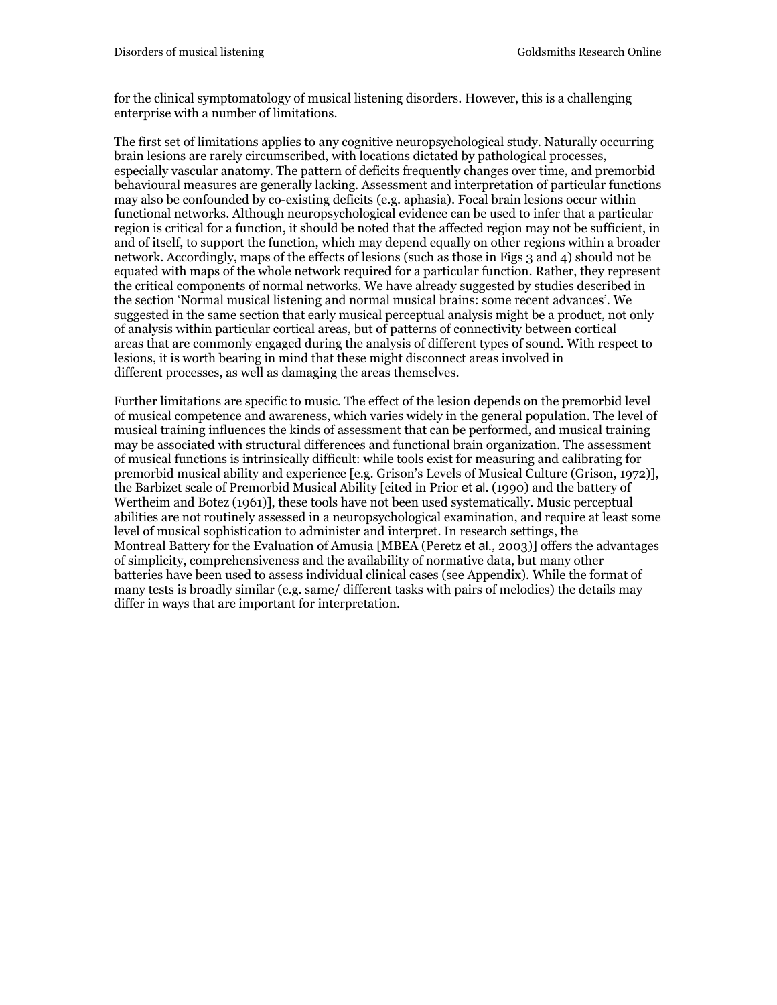for the clinical symptomatology of musical listening disorders. However, this is a challenging enterprise with a number of limitations.

The first set of limitations applies to any cognitive neuropsychological study. Naturally occurring brain lesions are rarely circumscribed, with locations dictated by pathological processes, especially vascular anatomy. The pattern of deficits frequently changes over time, and premorbid behavioural measures are generally lacking. Assessment and interpretation of particular functions may also be confounded by co-existing deficits (e.g. aphasia). Focal brain lesions occur within functional networks. Although neuropsychological evidence can be used to infer that a particular region is critical for a function, it should be noted that the affected region may not be sufficient, in and of itself, to support the function, which may depend equally on other regions within a broader network. Accordingly, maps of the effects of lesions (such as those in Figs 3 and 4) should not be equated with maps of the whole network required for a particular function. Rather, they represent the critical components of normal networks. We have already suggested by studies described in the section 'Normal musical listening and normal musical brains: some recent advances'. We suggested in the same section that early musical perceptual analysis might be a product, not only of analysis within particular cortical areas, but of patterns of connectivity between cortical areas that are commonly engaged during the analysis of different types of sound. With respect to lesions, it is worth bearing in mind that these might disconnect areas involved in different processes, as well as damaging the areas themselves.

Further limitations are specific to music. The effect of the lesion depends on the premorbid level of musical competence and awareness, which varies widely in the general population. The level of musical training influences the kinds of assessment that can be performed, and musical training may be associated with structural differences and functional brain organization. The assessment of musical functions is intrinsically difficult: while tools exist for measuring and calibrating for premorbid musical ability and experience [e.g. Grison's Levels of Musical Culture (Grison, 1972)], the Barbizet scale of Premorbid Musical Ability [cited in Prior et al. (1990) and the battery of Wertheim and Botez (1961)], these tools have not been used systematically. Music perceptual abilities are not routinely assessed in a neuropsychological examination, and require at least some level of musical sophistication to administer and interpret. In research settings, the Montreal Battery for the Evaluation of Amusia [MBEA (Peretz et al., 2003)] offers the advantages of simplicity, comprehensiveness and the availability of normative data, but many other batteries have been used to assess individual clinical cases (see Appendix). While the format of many tests is broadly similar (e.g. same/ different tasks with pairs of melodies) the details may differ in ways that are important for interpretation.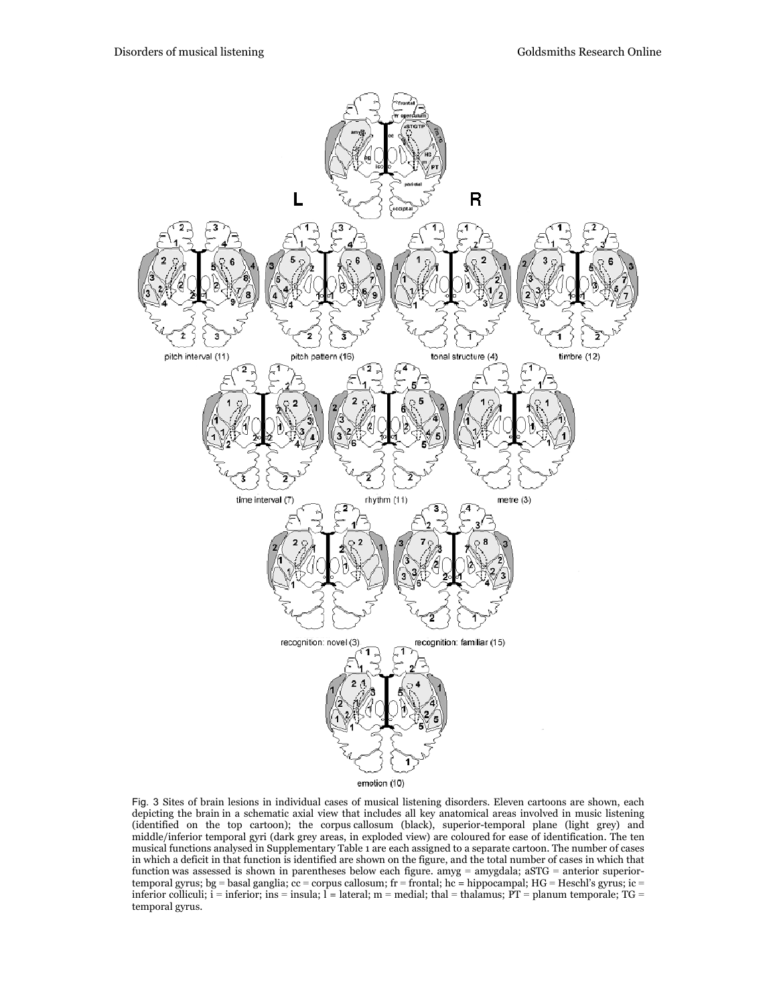

Fig. 3 Sites of brain lesions in individual cases of musical listening disorders. Eleven cartoons are shown, each depicting the brain in a schematic axial view that includes all key anatomical areas involved in music listening (identified on the top cartoon); the corpus callosum (black), superior-temporal plane (light grey) and middle/inferior temporal gyri (dark grey areas, in exploded view) are coloured for ease of identification. The ten musical functions analysed in Supplementary Table 1 are each assigned to a separate cartoon. The number of cases in which a deficit in that function is identified are shown on the figure, and the total number of cases in which that function was assessed is shown in parentheses below each figure. amyg = amygdala; aSTG = anterior superiortemporal gyrus; bg = basal ganglia;  $cc$  = corpus callosum; fr = frontal; hc = hippocampal; HG = Heschl's gyrus; ic = inferior colliculi;  $i =$  inferior; ins = insula;  $i =$  lateral; m = medial; thal = thalamus;  $PT =$  planum temporale;  $TG =$ temporal gyrus.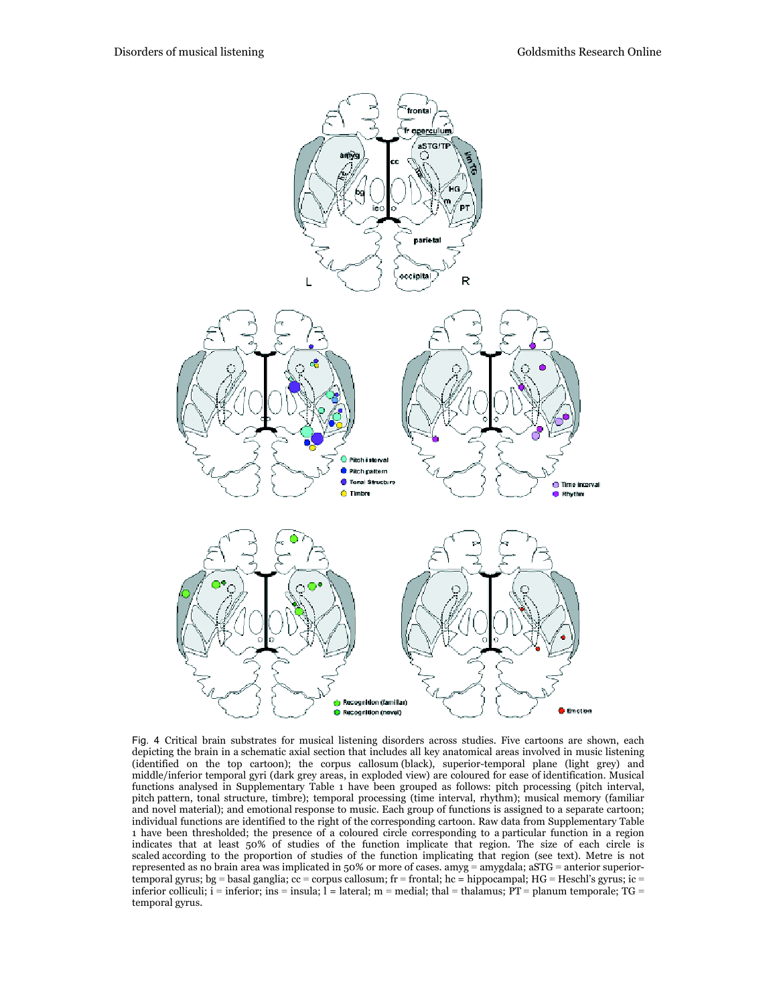

Fig. 4 Critical brain substrates for musical listening disorders across studies. Five cartoons are shown, each depicting the brain in a schematic axial section that includes all key anatomical areas involved in music listening (identified on the top cartoon); the corpus callosum (black), superior-temporal plane (light grey) and middle/inferior temporal gyri (dark grey areas, in exploded view) are coloured for ease of identification. Musical functions analysed in Supplementary Table 1 have been grouped as follows: pitch processing (pitch interval, pitch pattern, tonal structure, timbre); temporal processing (time interval, rhythm); musical memory (familiar and novel material); and emotional response to music. Each group of functions is assigned to a separate cartoon; individual functions are identified to the right of the corresponding cartoon. Raw data from Supplementary Table 1 have been thresholded; the presence of a coloured circle corresponding to a particular function in a region indicates that at least 50% of studies of the function implicate that region. The size of each circle is scaled according to the proportion of studies of the function implicating that region (see text). Metre is not represented as no brain area was implicated in 50% or more of cases. amyg = amygdala; aSTG = anterior superiortemporal gyrus; bg = basal ganglia; cc = corpus callosum; fr = frontal; hc = hippocampal; HG = Heschl's gyrus; ic = inferior colliculi; i = inferior; ins = insula;  $l =$  lateral; m = medial; thal = thalamus;  $PT =$  planum temporale;  $TG =$ temporal gyrus.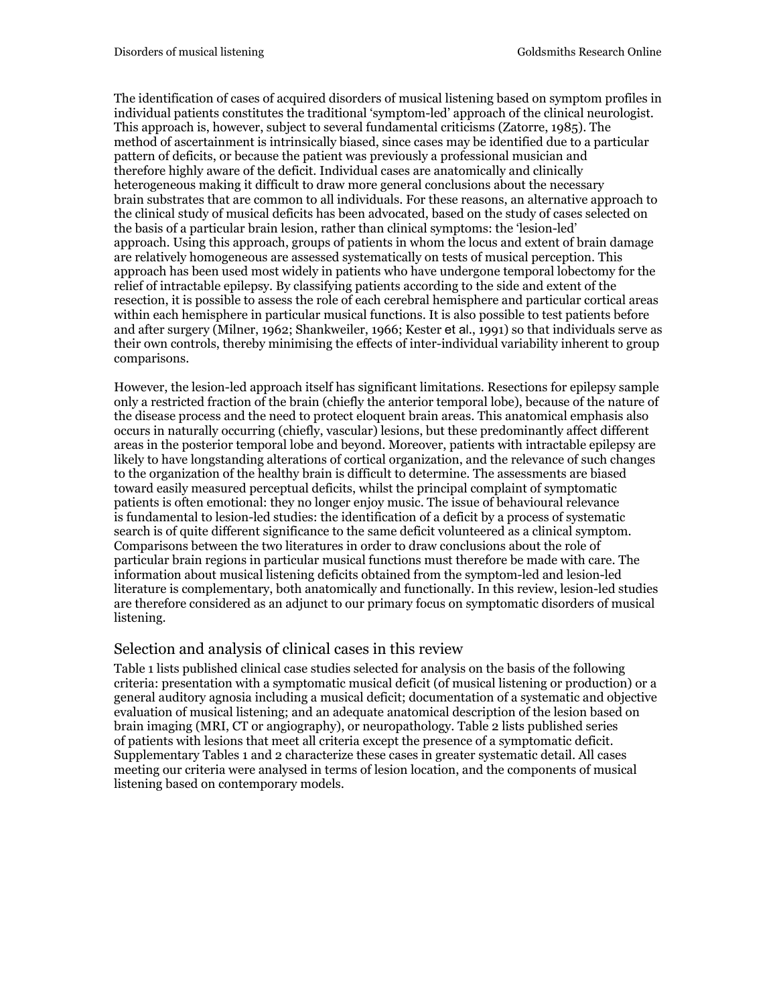The identification of cases of acquired disorders of musical listening based on symptom profiles in individual patients constitutes the traditional 'symptom-led' approach of the clinical neurologist. This approach is, however, subject to several fundamental criticisms (Zatorre, 1985). The method of ascertainment is intrinsically biased, since cases may be identified due to a particular pattern of deficits, or because the patient was previously a professional musician and therefore highly aware of the deficit. Individual cases are anatomically and clinically heterogeneous making it difficult to draw more general conclusions about the necessary brain substrates that are common to all individuals. For these reasons, an alternative approach to the clinical study of musical deficits has been advocated, based on the study of cases selected on the basis of a particular brain lesion, rather than clinical symptoms: the 'lesion-led' approach. Using this approach, groups of patients in whom the locus and extent of brain damage are relatively homogeneous are assessed systematically on tests of musical perception. This approach has been used most widely in patients who have undergone temporal lobectomy for the relief of intractable epilepsy. By classifying patients according to the side and extent of the resection, it is possible to assess the role of each cerebral hemisphere and particular cortical areas within each hemisphere in particular musical functions. It is also possible to test patients before and after surgery (Milner, 1962; Shankweiler, 1966; Kester et al., 1991) so that individuals serve as their own controls, thereby minimising the effects of inter-individual variability inherent to group comparisons.

However, the lesion-led approach itself has significant limitations. Resections for epilepsy sample only a restricted fraction of the brain (chiefly the anterior temporal lobe), because of the nature of the disease process and the need to protect eloquent brain areas. This anatomical emphasis also occurs in naturally occurring (chiefly, vascular) lesions, but these predominantly affect different areas in the posterior temporal lobe and beyond. Moreover, patients with intractable epilepsy are likely to have longstanding alterations of cortical organization, and the relevance of such changes to the organization of the healthy brain is difficult to determine. The assessments are biased toward easily measured perceptual deficits, whilst the principal complaint of symptomatic patients is often emotional: they no longer enjoy music. The issue of behavioural relevance is fundamental to lesion-led studies: the identification of a deficit by a process of systematic search is of quite different significance to the same deficit volunteered as a clinical symptom. Comparisons between the two literatures in order to draw conclusions about the role of particular brain regions in particular musical functions must therefore be made with care. The information about musical listening deficits obtained from the symptom-led and lesion-led literature is complementary, both anatomically and functionally. In this review, lesion-led studies are therefore considered as an adjunct to our primary focus on symptomatic disorders of musical listening.

#### Selection and analysis of clinical cases in this review

Table 1 lists published clinical case studies selected for analysis on the basis of the following criteria: presentation with a symptomatic musical deficit (of musical listening or production) or a general auditory agnosia including a musical deficit; documentation of a systematic and objective evaluation of musical listening; and an adequate anatomical description of the lesion based on brain imaging (MRI, CT or angiography), or neuropathology. Table 2 lists published series of patients with lesions that meet all criteria except the presence of a symptomatic deficit. Supplementary Tables 1 and 2 characterize these cases in greater systematic detail. All cases meeting our criteria were analysed in terms of lesion location, and the components of musical listening based on contemporary models.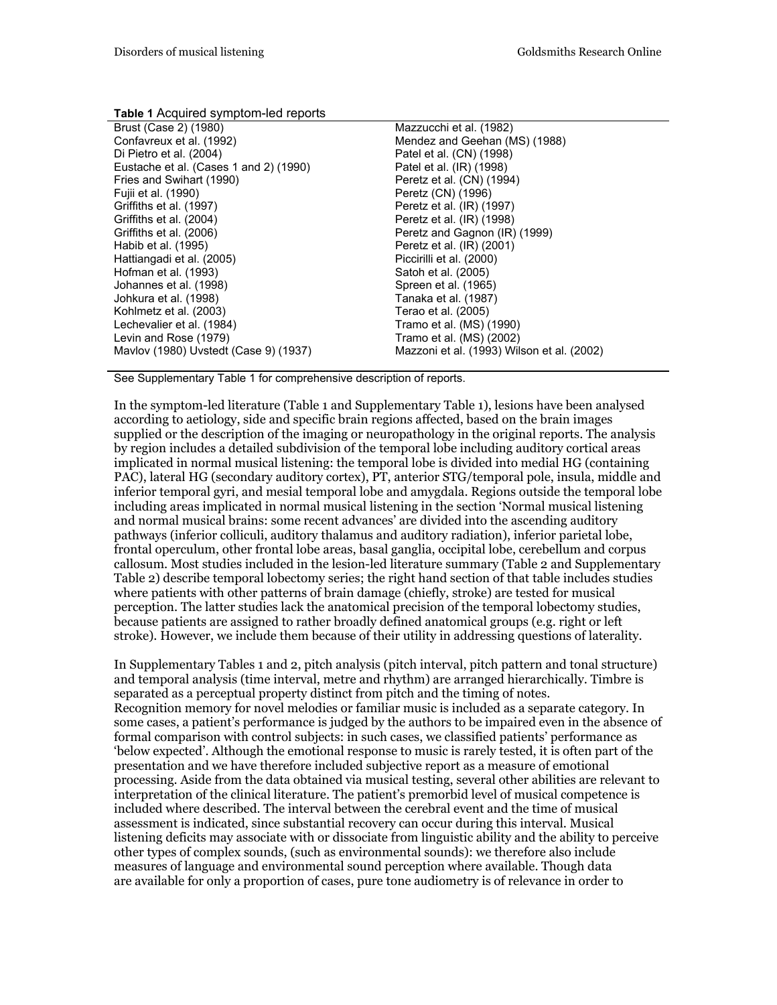| Mazzucchi et al. (1982)                    |
|--------------------------------------------|
| Mendez and Geehan (MS) (1988)              |
| Patel et al. (CN) (1998)                   |
| Patel et al. (IR) (1998)                   |
| Peretz et al. (CN) (1994)                  |
| Peretz (CN) (1996)                         |
| Peretz et al. (IR) (1997)                  |
| Peretz et al. (IR) (1998)                  |
| Peretz and Gagnon (IR) (1999)              |
| Peretz et al. (IR) (2001)                  |
| Piccirilli et al. (2000)                   |
| Satoh et al. (2005)                        |
| Spreen et al. (1965)                       |
| Tanaka et al. (1987)                       |
| Terao et al. (2005)                        |
| Tramo et al. (MS) (1990)                   |
| Tramo et al. (MS) (2002)                   |
| Mazzoni et al. (1993) Wilson et al. (2002) |
|                                            |

**Table 1** Acquired symptom-led reports

See Supplementary Table 1 for comprehensive description of reports.

In the symptom-led literature (Table 1 and Supplementary Table 1), lesions have been analysed according to aetiology, side and specific brain regions affected, based on the brain images supplied or the description of the imaging or neuropathology in the original reports. The analysis by region includes a detailed subdivision of the temporal lobe including auditory cortical areas implicated in normal musical listening: the temporal lobe is divided into medial HG (containing PAC), lateral HG (secondary auditory cortex), PT, anterior STG/temporal pole, insula, middle and inferior temporal gyri, and mesial temporal lobe and amygdala. Regions outside the temporal lobe including areas implicated in normal musical listening in the section 'Normal musical listening and normal musical brains: some recent advances' are divided into the ascending auditory pathways (inferior colliculi, auditory thalamus and auditory radiation), inferior parietal lobe, frontal operculum, other frontal lobe areas, basal ganglia, occipital lobe, cerebellum and corpus callosum. Most studies included in the lesion-led literature summary (Table 2 and Supplementary Table 2) describe temporal lobectomy series; the right hand section of that table includes studies where patients with other patterns of brain damage (chiefly, stroke) are tested for musical perception. The latter studies lack the anatomical precision of the temporal lobectomy studies, because patients are assigned to rather broadly defined anatomical groups (e.g. right or left stroke). However, we include them because of their utility in addressing questions of laterality.

In Supplementary Tables 1 and 2, pitch analysis (pitch interval, pitch pattern and tonal structure) and temporal analysis (time interval, metre and rhythm) are arranged hierarchically. Timbre is separated as a perceptual property distinct from pitch and the timing of notes. Recognition memory for novel melodies or familiar music is included as a separate category. In some cases, a patient's performance is judged by the authors to be impaired even in the absence of formal comparison with control subjects: in such cases, we classified patients' performance as 'below expected'. Although the emotional response to music is rarely tested, it is often part of the presentation and we have therefore included subjective report as a measure of emotional processing. Aside from the data obtained via musical testing, several other abilities are relevant to interpretation of the clinical literature. The patient's premorbid level of musical competence is included where described. The interval between the cerebral event and the time of musical assessment is indicated, since substantial recovery can occur during this interval. Musical listening deficits may associate with or dissociate from linguistic ability and the ability to perceive other types of complex sounds, (such as environmental sounds): we therefore also include measures of language and environmental sound perception where available. Though data are available for only a proportion of cases, pure tone audiometry is of relevance in order to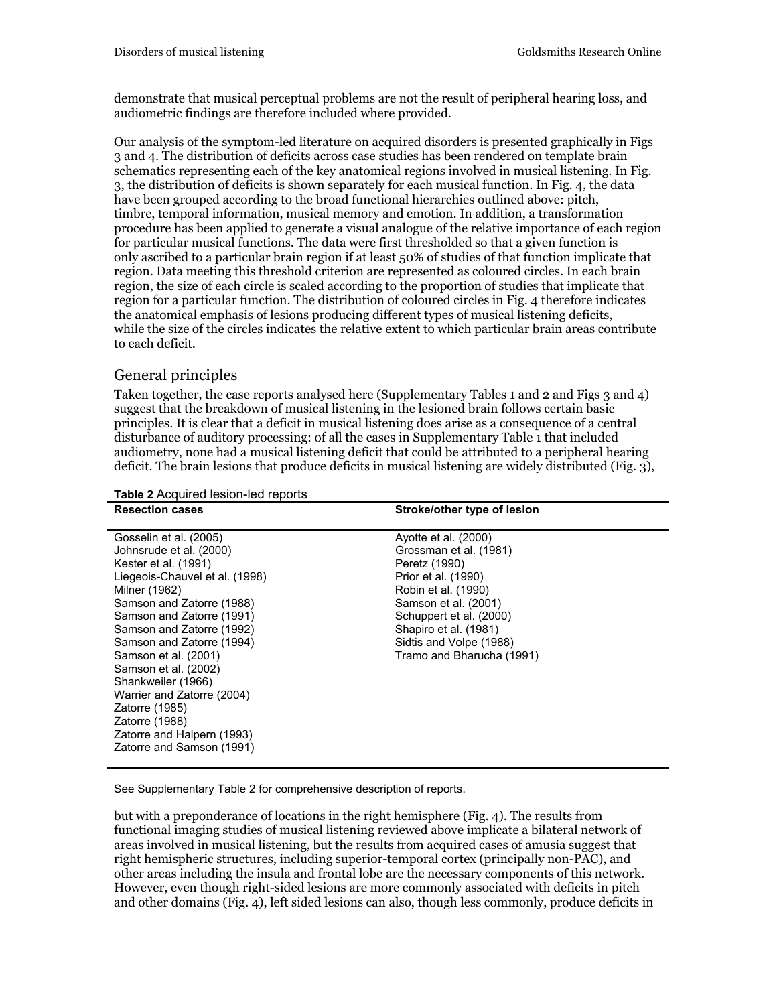demonstrate that musical perceptual problems are not the result of peripheral hearing loss, and audiometric findings are therefore included where provided.

Our analysis of the symptom-led literature on acquired disorders is presented graphically in Figs 3 and 4. The distribution of deficits across case studies has been rendered on template brain schematics representing each of the key anatomical regions involved in musical listening. In Fig. 3, the distribution of deficits is shown separately for each musical function. In Fig. 4, the data have been grouped according to the broad functional hierarchies outlined above: pitch, timbre, temporal information, musical memory and emotion. In addition, a transformation procedure has been applied to generate a visual analogue of the relative importance of each region for particular musical functions. The data were first thresholded so that a given function is only ascribed to a particular brain region if at least 50% of studies of that function implicate that region. Data meeting this threshold criterion are represented as coloured circles. In each brain region, the size of each circle is scaled according to the proportion of studies that implicate that region for a particular function. The distribution of coloured circles in Fig. 4 therefore indicates the anatomical emphasis of lesions producing different types of musical listening deficits, while the size of the circles indicates the relative extent to which particular brain areas contribute to each deficit.

#### General principles

Taken together, the case reports analysed here (Supplementary Tables 1 and 2 and Figs 3 and 4) suggest that the breakdown of musical listening in the lesioned brain follows certain basic principles. It is clear that a deficit in musical listening does arise as a consequence of a central disturbance of auditory processing: of all the cases in Supplementary Table 1 that included audiometry, none had a musical listening deficit that could be attributed to a peripheral hearing deficit. The brain lesions that produce deficits in musical listening are widely distributed (Fig. 3),

| <b>Resection cases</b>                                                                                                                                                                                                                                                                                                                                                                                                                                                                                                                                                                                                                                                      | Stroke/other type of lesion |
|-----------------------------------------------------------------------------------------------------------------------------------------------------------------------------------------------------------------------------------------------------------------------------------------------------------------------------------------------------------------------------------------------------------------------------------------------------------------------------------------------------------------------------------------------------------------------------------------------------------------------------------------------------------------------------|-----------------------------|
| Gosselin et al. (2005)<br>Ayotte et al. (2000)<br>Johnsrude et al. (2000)<br>Grossman et al. (1981)<br>Kester et al. (1991)<br>Peretz (1990)<br>Liegeois-Chauvel et al. (1998)<br>Prior et al. (1990)<br>Robin et al. (1990)<br>Milner (1962)<br>Samson et al. (2001)<br>Samson and Zatorre (1988)<br>Schuppert et al. (2000)<br>Samson and Zatorre (1991)<br>Shapiro et al. (1981)<br>Samson and Zatorre (1992)<br>Sidtis and Volpe (1988)<br>Samson and Zatorre (1994)<br>Samson et al. (2001)<br>Samson et al. (2002)<br>Shankweiler (1966)<br>Warrier and Zatorre (2004)<br>Zatorre (1985)<br>Zatorre (1988)<br>Zatorre and Halpern (1993)<br>Zatorre and Samson (1991) | Tramo and Bharucha (1991)   |

#### **Table 2** Acquired lesion-led reports

See Supplementary Table 2 for comprehensive description of reports.

but with a preponderance of locations in the right hemisphere (Fig. 4). The results from functional imaging studies of musical listening reviewed above implicate a bilateral network of areas involved in musical listening, but the results from acquired cases of amusia suggest that right hemispheric structures, including superior-temporal cortex (principally non-PAC), and other areas including the insula and frontal lobe are the necessary components of this network. However, even though right-sided lesions are more commonly associated with deficits in pitch and other domains (Fig. 4), left sided lesions can also, though less commonly, produce deficits in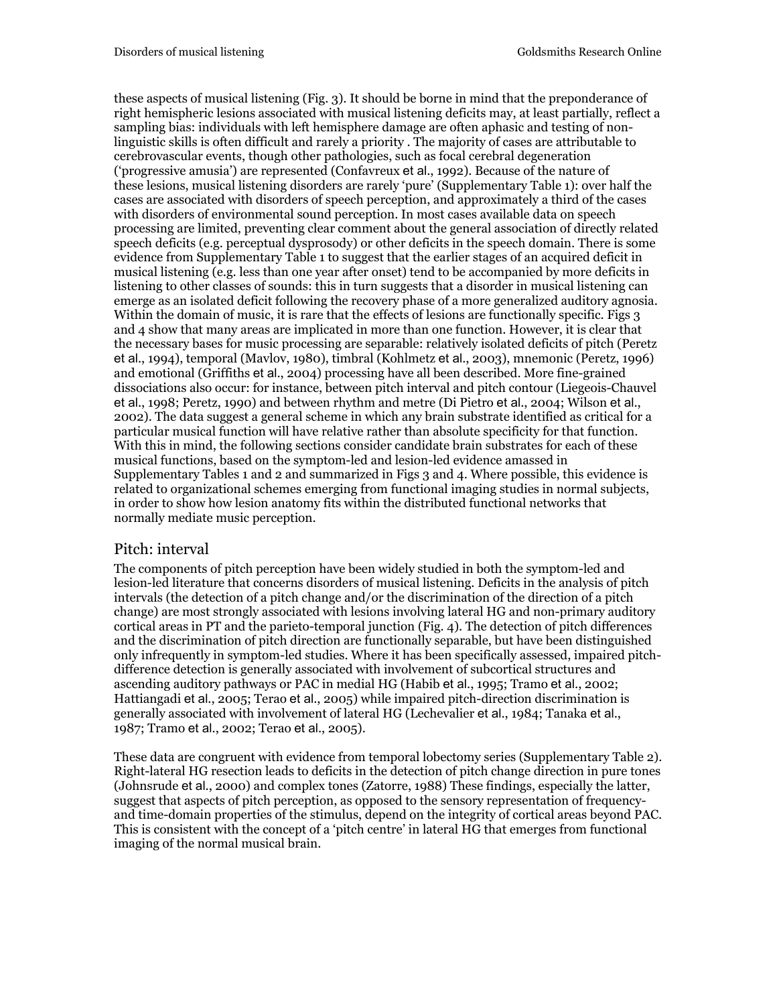these aspects of musical listening (Fig. 3). It should be borne in mind that the preponderance of right hemispheric lesions associated with musical listening deficits may, at least partially, reflect a sampling bias: individuals with left hemisphere damage are often aphasic and testing of nonlinguistic skills is often difficult and rarely a priority . The majority of cases are attributable to cerebrovascular events, though other pathologies, such as focal cerebral degeneration ('progressive amusia') are represented (Confavreux et al., 1992). Because of the nature of these lesions, musical listening disorders are rarely 'pure' (Supplementary Table 1): over half the cases are associated with disorders of speech perception, and approximately a third of the cases with disorders of environmental sound perception. In most cases available data on speech processing are limited, preventing clear comment about the general association of directly related speech deficits (e.g. perceptual dysprosody) or other deficits in the speech domain. There is some evidence from Supplementary Table 1 to suggest that the earlier stages of an acquired deficit in musical listening (e.g. less than one year after onset) tend to be accompanied by more deficits in listening to other classes of sounds: this in turn suggests that a disorder in musical listening can emerge as an isolated deficit following the recovery phase of a more generalized auditory agnosia. Within the domain of music, it is rare that the effects of lesions are functionally specific. Figs 3 and 4 show that many areas are implicated in more than one function. However, it is clear that the necessary bases for music processing are separable: relatively isolated deficits of pitch (Peretz et al., 1994), temporal (Mavlov, 1980), timbral (Kohlmetz et al., 2003), mnemonic (Peretz, 1996) and emotional (Griffiths et al., 2004) processing have all been described. More fine-grained dissociations also occur: for instance, between pitch interval and pitch contour (Liegeois-Chauvel et al., 1998; Peretz, 1990) and between rhythm and metre (Di Pietro et al., 2004; Wilson et al., 2002). The data suggest a general scheme in which any brain substrate identified as critical for a particular musical function will have relative rather than absolute specificity for that function. With this in mind, the following sections consider candidate brain substrates for each of these musical functions, based on the symptom-led and lesion-led evidence amassed in Supplementary Tables 1 and 2 and summarized in Figs 3 and 4. Where possible, this evidence is related to organizational schemes emerging from functional imaging studies in normal subjects, in order to show how lesion anatomy fits within the distributed functional networks that normally mediate music perception.

#### Pitch: interval

The components of pitch perception have been widely studied in both the symptom-led and lesion-led literature that concerns disorders of musical listening. Deficits in the analysis of pitch intervals (the detection of a pitch change and/or the discrimination of the direction of a pitch change) are most strongly associated with lesions involving lateral HG and non-primary auditory cortical areas in PT and the parieto-temporal junction (Fig. 4). The detection of pitch differences and the discrimination of pitch direction are functionally separable, but have been distinguished only infrequently in symptom-led studies. Where it has been specifically assessed, impaired pitchdifference detection is generally associated with involvement of subcortical structures and ascending auditory pathways or PAC in medial HG (Habib et al., 1995; Tramo et al., 2002; Hattiangadi et al., 2005; Terao et al., 2005) while impaired pitch-direction discrimination is generally associated with involvement of lateral HG (Lechevalier et al., 1984; Tanaka et al., 1987; Tramo et al., 2002; Terao et al., 2005).

These data are congruent with evidence from temporal lobectomy series (Supplementary Table 2). Right-lateral HG resection leads to deficits in the detection of pitch change direction in pure tones (Johnsrude et al., 2000) and complex tones (Zatorre, 1988) These findings, especially the latter, suggest that aspects of pitch perception, as opposed to the sensory representation of frequencyand time-domain properties of the stimulus, depend on the integrity of cortical areas beyond PAC. This is consistent with the concept of a 'pitch centre' in lateral HG that emerges from functional imaging of the normal musical brain.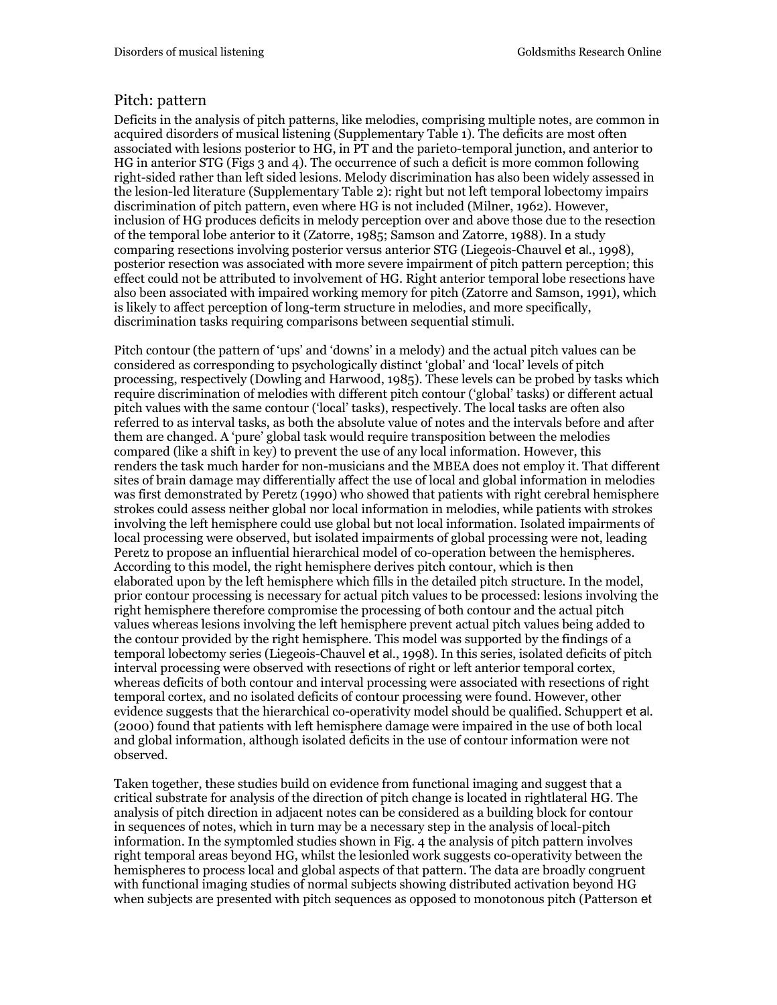#### Pitch: pattern

Deficits in the analysis of pitch patterns, like melodies, comprising multiple notes, are common in acquired disorders of musical listening (Supplementary Table 1). The deficits are most often associated with lesions posterior to HG, in PT and the parieto-temporal junction, and anterior to HG in anterior STG (Figs 3 and 4). The occurrence of such a deficit is more common following right-sided rather than left sided lesions. Melody discrimination has also been widely assessed in the lesion-led literature (Supplementary Table 2): right but not left temporal lobectomy impairs discrimination of pitch pattern, even where HG is not included (Milner, 1962). However, inclusion of HG produces deficits in melody perception over and above those due to the resection of the temporal lobe anterior to it (Zatorre, 1985; Samson and Zatorre, 1988). In a study comparing resections involving posterior versus anterior STG (Liegeois-Chauvel et al., 1998), posterior resection was associated with more severe impairment of pitch pattern perception; this effect could not be attributed to involvement of HG. Right anterior temporal lobe resections have also been associated with impaired working memory for pitch (Zatorre and Samson, 1991), which is likely to affect perception of long-term structure in melodies, and more specifically, discrimination tasks requiring comparisons between sequential stimuli.

Pitch contour (the pattern of 'ups' and 'downs' in a melody) and the actual pitch values can be considered as corresponding to psychologically distinct 'global' and 'local' levels of pitch processing, respectively (Dowling and Harwood, 1985). These levels can be probed by tasks which require discrimination of melodies with different pitch contour ('global' tasks) or different actual pitch values with the same contour ('local' tasks), respectively. The local tasks are often also referred to as interval tasks, as both the absolute value of notes and the intervals before and after them are changed. A 'pure' global task would require transposition between the melodies compared (like a shift in key) to prevent the use of any local information. However, this renders the task much harder for non-musicians and the MBEA does not employ it. That different sites of brain damage may differentially affect the use of local and global information in melodies was first demonstrated by Peretz (1990) who showed that patients with right cerebral hemisphere strokes could assess neither global nor local information in melodies, while patients with strokes involving the left hemisphere could use global but not local information. Isolated impairments of local processing were observed, but isolated impairments of global processing were not, leading Peretz to propose an influential hierarchical model of co-operation between the hemispheres. According to this model, the right hemisphere derives pitch contour, which is then elaborated upon by the left hemisphere which fills in the detailed pitch structure. In the model, prior contour processing is necessary for actual pitch values to be processed: lesions involving the right hemisphere therefore compromise the processing of both contour and the actual pitch values whereas lesions involving the left hemisphere prevent actual pitch values being added to the contour provided by the right hemisphere. This model was supported by the findings of a temporal lobectomy series (Liegeois-Chauvel et al., 1998). In this series, isolated deficits of pitch interval processing were observed with resections of right or left anterior temporal cortex, whereas deficits of both contour and interval processing were associated with resections of right temporal cortex, and no isolated deficits of contour processing were found. However, other evidence suggests that the hierarchical co-operativity model should be qualified. Schuppert et al. (2000) found that patients with left hemisphere damage were impaired in the use of both local and global information, although isolated deficits in the use of contour information were not observed.

Taken together, these studies build on evidence from functional imaging and suggest that a critical substrate for analysis of the direction of pitch change is located in rightlateral HG. The analysis of pitch direction in adjacent notes can be considered as a building block for contour in sequences of notes, which in turn may be a necessary step in the analysis of local-pitch information. In the symptomled studies shown in Fig. 4 the analysis of pitch pattern involves right temporal areas beyond HG, whilst the lesionled work suggests co-operativity between the hemispheres to process local and global aspects of that pattern. The data are broadly congruent with functional imaging studies of normal subjects showing distributed activation beyond HG when subjects are presented with pitch sequences as opposed to monotonous pitch (Patterson et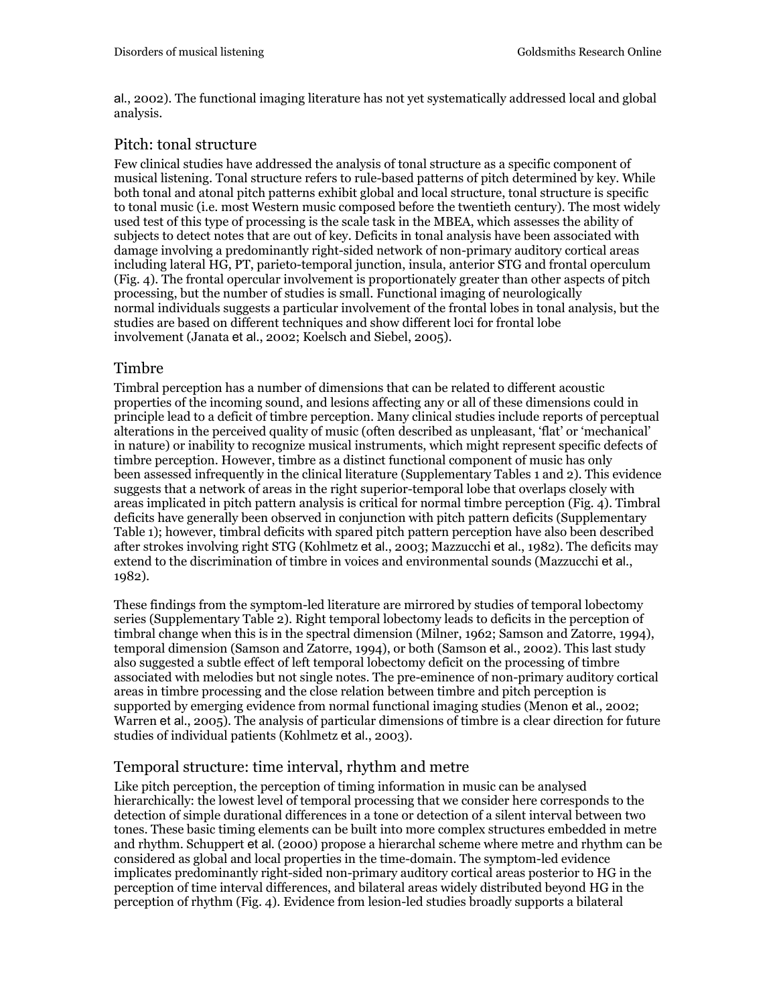al., 2002). The functional imaging literature has not yet systematically addressed local and global analysis.

### Pitch: tonal structure

Few clinical studies have addressed the analysis of tonal structure as a specific component of musical listening. Tonal structure refers to rule-based patterns of pitch determined by key. While both tonal and atonal pitch patterns exhibit global and local structure, tonal structure is specific to tonal music (i.e. most Western music composed before the twentieth century). The most widely used test of this type of processing is the scale task in the MBEA, which assesses the ability of subjects to detect notes that are out of key. Deficits in tonal analysis have been associated with damage involving a predominantly right-sided network of non-primary auditory cortical areas including lateral HG, PT, parieto-temporal junction, insula, anterior STG and frontal operculum (Fig. 4). The frontal opercular involvement is proportionately greater than other aspects of pitch processing, but the number of studies is small. Functional imaging of neurologically normal individuals suggests a particular involvement of the frontal lobes in tonal analysis, but the studies are based on different techniques and show different loci for frontal lobe involvement (Janata et al., 2002; Koelsch and Siebel, 2005).

### Timbre

Timbral perception has a number of dimensions that can be related to different acoustic properties of the incoming sound, and lesions affecting any or all of these dimensions could in principle lead to a deficit of timbre perception. Many clinical studies include reports of perceptual alterations in the perceived quality of music (often described as unpleasant, 'flat' or 'mechanical' in nature) or inability to recognize musical instruments, which might represent specific defects of timbre perception. However, timbre as a distinct functional component of music has only been assessed infrequently in the clinical literature (Supplementary Tables 1 and 2). This evidence suggests that a network of areas in the right superior-temporal lobe that overlaps closely with areas implicated in pitch pattern analysis is critical for normal timbre perception (Fig. 4). Timbral deficits have generally been observed in conjunction with pitch pattern deficits (Supplementary Table 1); however, timbral deficits with spared pitch pattern perception have also been described after strokes involving right STG (Kohlmetz et al., 2003; Mazzucchi et al., 1982). The deficits may extend to the discrimination of timbre in voices and environmental sounds (Mazzucchi et al., 1982).

These findings from the symptom-led literature are mirrored by studies of temporal lobectomy series (Supplementary Table 2). Right temporal lobectomy leads to deficits in the perception of timbral change when this is in the spectral dimension (Milner, 1962; Samson and Zatorre, 1994), temporal dimension (Samson and Zatorre, 1994), or both (Samson et al., 2002). This last study also suggested a subtle effect of left temporal lobectomy deficit on the processing of timbre associated with melodies but not single notes. The pre-eminence of non-primary auditory cortical areas in timbre processing and the close relation between timbre and pitch perception is supported by emerging evidence from normal functional imaging studies (Menon et al., 2002; Warren et al., 2005). The analysis of particular dimensions of timbre is a clear direction for future studies of individual patients (Kohlmetz et al., 2003).

### Temporal structure: time interval, rhythm and metre

Like pitch perception, the perception of timing information in music can be analysed hierarchically: the lowest level of temporal processing that we consider here corresponds to the detection of simple durational differences in a tone or detection of a silent interval between two tones. These basic timing elements can be built into more complex structures embedded in metre and rhythm. Schuppert et al. (2000) propose a hierarchal scheme where metre and rhythm can be considered as global and local properties in the time-domain. The symptom-led evidence implicates predominantly right-sided non-primary auditory cortical areas posterior to HG in the perception of time interval differences, and bilateral areas widely distributed beyond HG in the perception of rhythm (Fig. 4). Evidence from lesion-led studies broadly supports a bilateral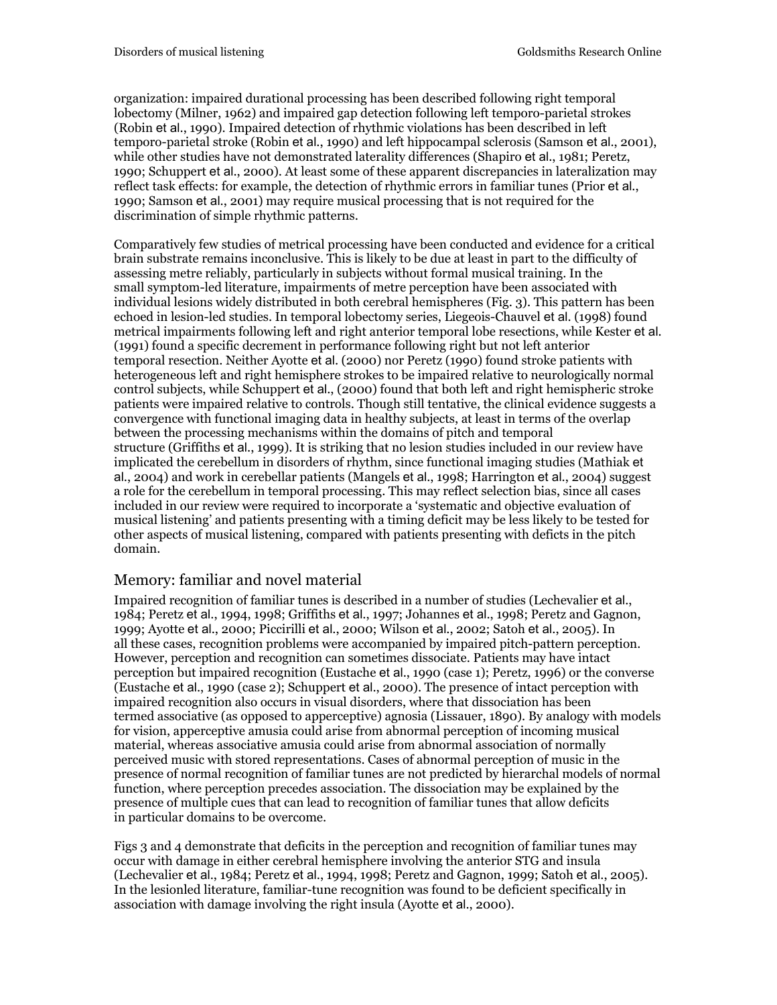organization: impaired durational processing has been described following right temporal lobectomy (Milner, 1962) and impaired gap detection following left temporo-parietal strokes (Robin et al., 1990). Impaired detection of rhythmic violations has been described in left temporo-parietal stroke (Robin et al., 1990) and left hippocampal sclerosis (Samson et al., 2001), while other studies have not demonstrated laterality differences (Shapiro et al., 1981; Peretz, 1990; Schuppert et al., 2000). At least some of these apparent discrepancies in lateralization may reflect task effects: for example, the detection of rhythmic errors in familiar tunes (Prior et al., 1990; Samson et al., 2001) may require musical processing that is not required for the discrimination of simple rhythmic patterns.

Comparatively few studies of metrical processing have been conducted and evidence for a critical brain substrate remains inconclusive. This is likely to be due at least in part to the difficulty of assessing metre reliably, particularly in subjects without formal musical training. In the small symptom-led literature, impairments of metre perception have been associated with individual lesions widely distributed in both cerebral hemispheres (Fig. 3). This pattern has been echoed in lesion-led studies. In temporal lobectomy series, Liegeois-Chauvel et al. (1998) found metrical impairments following left and right anterior temporal lobe resections, while Kester et al. (1991) found a specific decrement in performance following right but not left anterior temporal resection. Neither Ayotte et al. (2000) nor Peretz (1990) found stroke patients with heterogeneous left and right hemisphere strokes to be impaired relative to neurologically normal control subjects, while Schuppert et al., (2000) found that both left and right hemispheric stroke patients were impaired relative to controls. Though still tentative, the clinical evidence suggests a convergence with functional imaging data in healthy subjects, at least in terms of the overlap between the processing mechanisms within the domains of pitch and temporal structure (Griffiths et al., 1999). It is striking that no lesion studies included in our review have implicated the cerebellum in disorders of rhythm, since functional imaging studies (Mathiak et al., 2004) and work in cerebellar patients (Mangels et al., 1998; Harrington et al., 2004) suggest a role for the cerebellum in temporal processing. This may reflect selection bias, since all cases included in our review were required to incorporate a 'systematic and objective evaluation of musical listening' and patients presenting with a timing deficit may be less likely to be tested for other aspects of musical listening, compared with patients presenting with deficts in the pitch domain.

#### Memory: familiar and novel material

Impaired recognition of familiar tunes is described in a number of studies (Lechevalier et al., 1984; Peretz et al., 1994, 1998; Griffiths et al., 1997; Johannes et al., 1998; Peretz and Gagnon, 1999; Ayotte et al., 2000; Piccirilli et al., 2000; Wilson et al., 2002; Satoh et al., 2005). In all these cases, recognition problems were accompanied by impaired pitch-pattern perception. However, perception and recognition can sometimes dissociate. Patients may have intact perception but impaired recognition (Eustache et al., 1990 (case 1); Peretz, 1996) or the converse (Eustache et al., 1990 (case 2); Schuppert et al., 2000). The presence of intact perception with impaired recognition also occurs in visual disorders, where that dissociation has been termed associative (as opposed to apperceptive) agnosia (Lissauer, 1890). By analogy with models for vision, apperceptive amusia could arise from abnormal perception of incoming musical material, whereas associative amusia could arise from abnormal association of normally perceived music with stored representations. Cases of abnormal perception of music in the presence of normal recognition of familiar tunes are not predicted by hierarchal models of normal function, where perception precedes association. The dissociation may be explained by the presence of multiple cues that can lead to recognition of familiar tunes that allow deficits in particular domains to be overcome.

Figs 3 and 4 demonstrate that deficits in the perception and recognition of familiar tunes may occur with damage in either cerebral hemisphere involving the anterior STG and insula (Lechevalier et al., 1984; Peretz et al., 1994, 1998; Peretz and Gagnon, 1999; Satoh et al., 2005). In the lesionled literature, familiar-tune recognition was found to be deficient specifically in association with damage involving the right insula (Ayotte et al., 2000).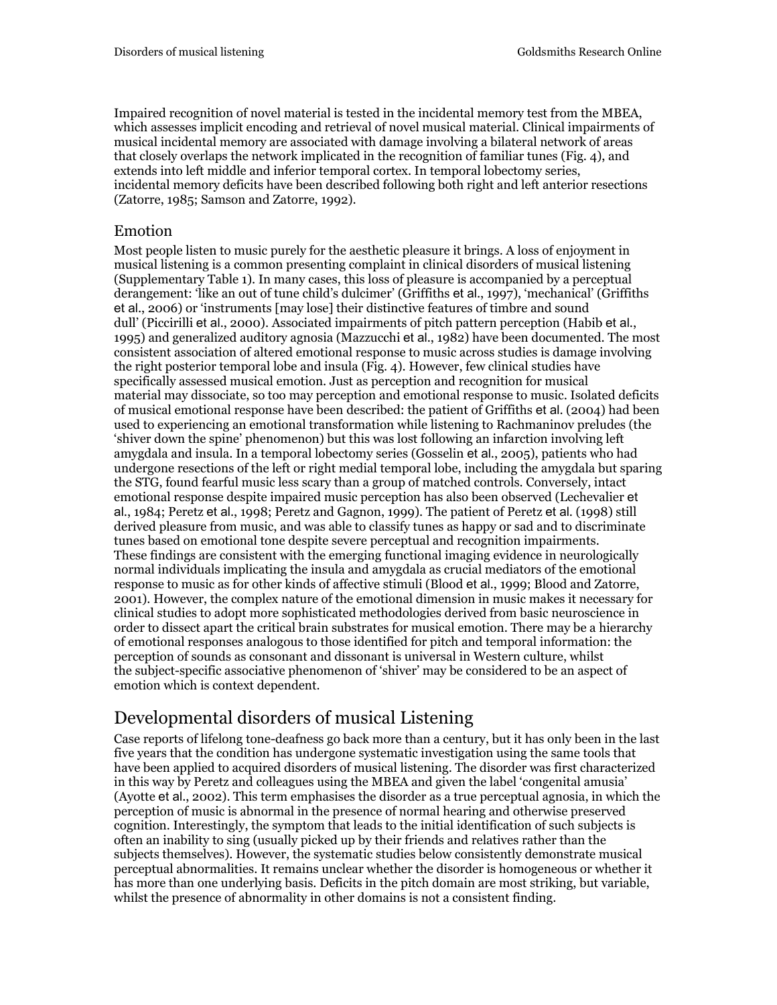Impaired recognition of novel material is tested in the incidental memory test from the MBEA, which assesses implicit encoding and retrieval of novel musical material. Clinical impairments of musical incidental memory are associated with damage involving a bilateral network of areas that closely overlaps the network implicated in the recognition of familiar tunes (Fig. 4), and extends into left middle and inferior temporal cortex. In temporal lobectomy series, incidental memory deficits have been described following both right and left anterior resections (Zatorre, 1985; Samson and Zatorre, 1992).

#### Emotion

Most people listen to music purely for the aesthetic pleasure it brings. A loss of enjoyment in musical listening is a common presenting complaint in clinical disorders of musical listening (Supplementary Table 1). In many cases, this loss of pleasure is accompanied by a perceptual derangement: 'like an out of tune child's dulcimer' (Griffiths et al., 1997), 'mechanical' (Griffiths et al., 2006) or 'instruments [may lose] their distinctive features of timbre and sound dull' (Piccirilli et al., 2000). Associated impairments of pitch pattern perception (Habib et al., 1995) and generalized auditory agnosia (Mazzucchi et al., 1982) have been documented. The most consistent association of altered emotional response to music across studies is damage involving the right posterior temporal lobe and insula (Fig. 4). However, few clinical studies have specifically assessed musical emotion. Just as perception and recognition for musical material may dissociate, so too may perception and emotional response to music. Isolated deficits of musical emotional response have been described: the patient of Griffiths et al. (2004) had been used to experiencing an emotional transformation while listening to Rachmaninov preludes (the 'shiver down the spine' phenomenon) but this was lost following an infarction involving left amygdala and insula. In a temporal lobectomy series (Gosselin et al., 2005), patients who had undergone resections of the left or right medial temporal lobe, including the amygdala but sparing the STG, found fearful music less scary than a group of matched controls. Conversely, intact emotional response despite impaired music perception has also been observed (Lechevalier et al., 1984; Peretz et al., 1998; Peretz and Gagnon, 1999). The patient of Peretz et al. (1998) still derived pleasure from music, and was able to classify tunes as happy or sad and to discriminate tunes based on emotional tone despite severe perceptual and recognition impairments. These findings are consistent with the emerging functional imaging evidence in neurologically normal individuals implicating the insula and amygdala as crucial mediators of the emotional response to music as for other kinds of affective stimuli (Blood et al., 1999; Blood and Zatorre, 2001). However, the complex nature of the emotional dimension in music makes it necessary for clinical studies to adopt more sophisticated methodologies derived from basic neuroscience in order to dissect apart the critical brain substrates for musical emotion. There may be a hierarchy of emotional responses analogous to those identified for pitch and temporal information: the perception of sounds as consonant and dissonant is universal in Western culture, whilst the subject-specific associative phenomenon of 'shiver' may be considered to be an aspect of emotion which is context dependent.

# Developmental disorders of musical Listening

Case reports of lifelong tone-deafness go back more than a century, but it has only been in the last five years that the condition has undergone systematic investigation using the same tools that have been applied to acquired disorders of musical listening. The disorder was first characterized in this way by Peretz and colleagues using the MBEA and given the label 'congenital amusia' (Ayotte et al., 2002). This term emphasises the disorder as a true perceptual agnosia, in which the perception of music is abnormal in the presence of normal hearing and otherwise preserved cognition. Interestingly, the symptom that leads to the initial identification of such subjects is often an inability to sing (usually picked up by their friends and relatives rather than the subjects themselves). However, the systematic studies below consistently demonstrate musical perceptual abnormalities. It remains unclear whether the disorder is homogeneous or whether it has more than one underlying basis. Deficits in the pitch domain are most striking, but variable, whilst the presence of abnormality in other domains is not a consistent finding.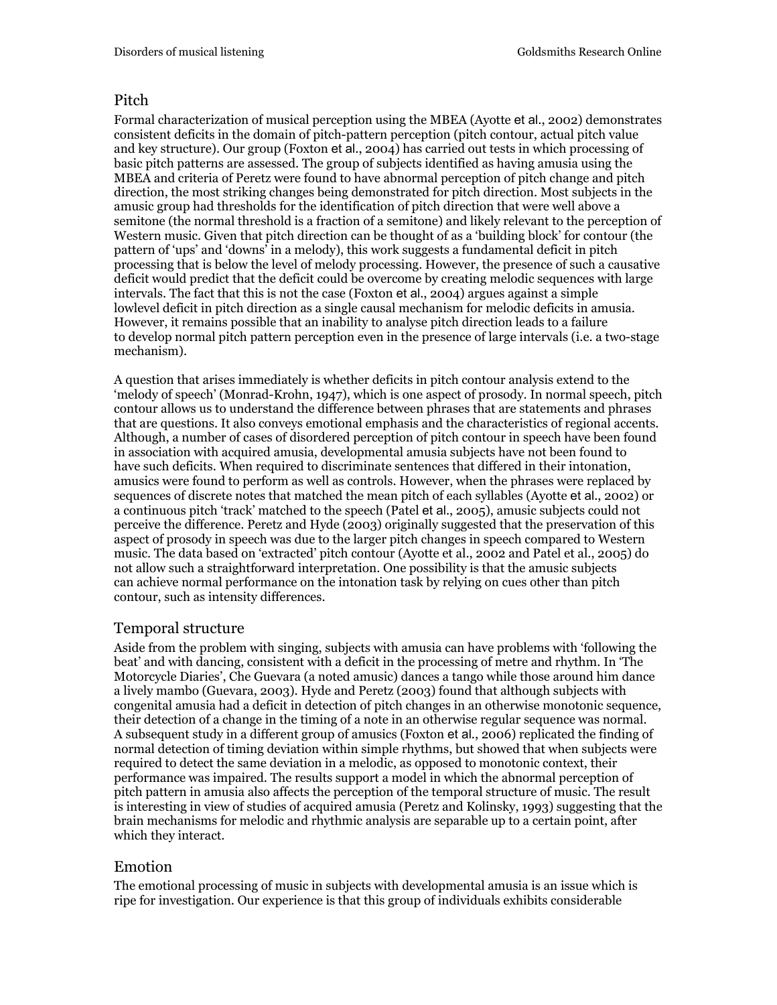#### Pitch

Formal characterization of musical perception using the MBEA (Ayotte et al., 2002) demonstrates consistent deficits in the domain of pitch-pattern perception (pitch contour, actual pitch value and key structure). Our group (Foxton et al., 2004) has carried out tests in which processing of basic pitch patterns are assessed. The group of subjects identified as having amusia using the MBEA and criteria of Peretz were found to have abnormal perception of pitch change and pitch direction, the most striking changes being demonstrated for pitch direction. Most subjects in the amusic group had thresholds for the identification of pitch direction that were well above a semitone (the normal threshold is a fraction of a semitone) and likely relevant to the perception of Western music. Given that pitch direction can be thought of as a 'building block' for contour (the pattern of 'ups' and 'downs' in a melody), this work suggests a fundamental deficit in pitch processing that is below the level of melody processing. However, the presence of such a causative deficit would predict that the deficit could be overcome by creating melodic sequences with large intervals. The fact that this is not the case (Foxton et al., 2004) argues against a simple lowlevel deficit in pitch direction as a single causal mechanism for melodic deficits in amusia. However, it remains possible that an inability to analyse pitch direction leads to a failure to develop normal pitch pattern perception even in the presence of large intervals (i.e. a two-stage mechanism).

A question that arises immediately is whether deficits in pitch contour analysis extend to the 'melody of speech' (Monrad-Krohn, 1947), which is one aspect of prosody. In normal speech, pitch contour allows us to understand the difference between phrases that are statements and phrases that are questions. It also conveys emotional emphasis and the characteristics of regional accents. Although, a number of cases of disordered perception of pitch contour in speech have been found in association with acquired amusia, developmental amusia subjects have not been found to have such deficits. When required to discriminate sentences that differed in their intonation, amusics were found to perform as well as controls. However, when the phrases were replaced by sequences of discrete notes that matched the mean pitch of each syllables (Ayotte et al., 2002) or a continuous pitch 'track' matched to the speech (Patel et al., 2005), amusic subjects could not perceive the difference. Peretz and Hyde (2003) originally suggested that the preservation of this aspect of prosody in speech was due to the larger pitch changes in speech compared to Western music. The data based on 'extracted' pitch contour (Ayotte et al., 2002 and Patel et al., 2005) do not allow such a straightforward interpretation. One possibility is that the amusic subjects can achieve normal performance on the intonation task by relying on cues other than pitch contour, such as intensity differences.

#### Temporal structure

Aside from the problem with singing, subjects with amusia can have problems with 'following the beat' and with dancing, consistent with a deficit in the processing of metre and rhythm. In 'The Motorcycle Diaries', Che Guevara (a noted amusic) dances a tango while those around him dance a lively mambo (Guevara, 2003). Hyde and Peretz (2003) found that although subjects with congenital amusia had a deficit in detection of pitch changes in an otherwise monotonic sequence, their detection of a change in the timing of a note in an otherwise regular sequence was normal. A subsequent study in a different group of amusics (Foxton et al., 2006) replicated the finding of normal detection of timing deviation within simple rhythms, but showed that when subjects were required to detect the same deviation in a melodic, as opposed to monotonic context, their performance was impaired. The results support a model in which the abnormal perception of pitch pattern in amusia also affects the perception of the temporal structure of music. The result is interesting in view of studies of acquired amusia (Peretz and Kolinsky, 1993) suggesting that the brain mechanisms for melodic and rhythmic analysis are separable up to a certain point, after which they interact.

#### Emotion

The emotional processing of music in subjects with developmental amusia is an issue which is ripe for investigation. Our experience is that this group of individuals exhibits considerable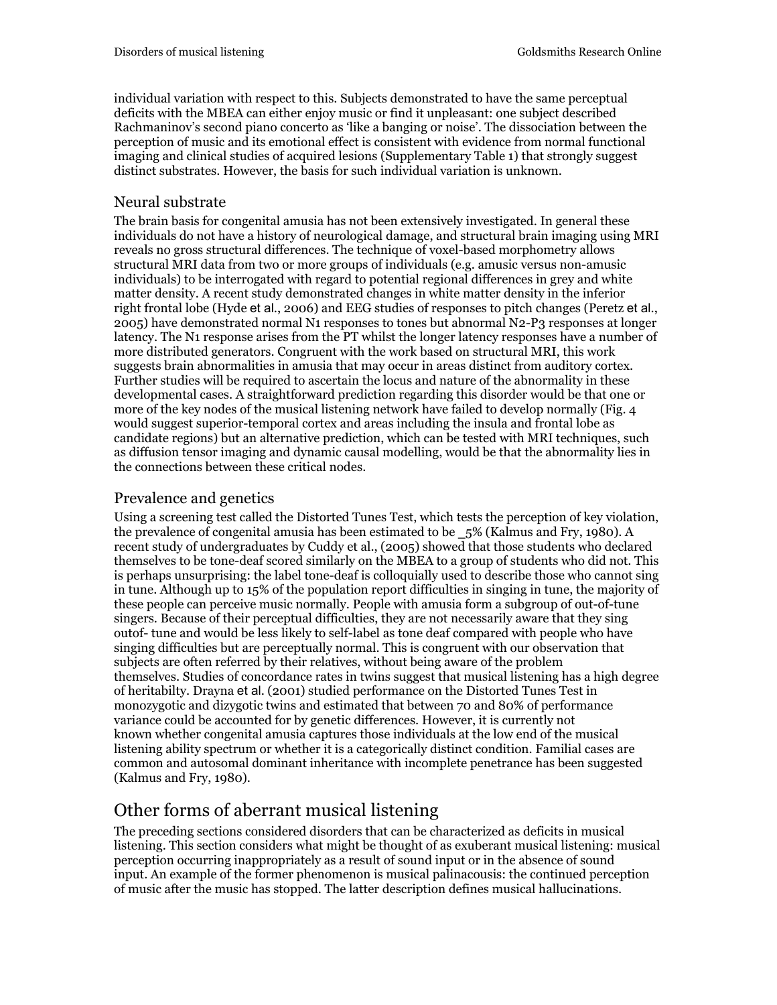individual variation with respect to this. Subjects demonstrated to have the same perceptual deficits with the MBEA can either enjoy music or find it unpleasant: one subject described Rachmaninov's second piano concerto as 'like a banging or noise'. The dissociation between the perception of music and its emotional effect is consistent with evidence from normal functional imaging and clinical studies of acquired lesions (Supplementary Table 1) that strongly suggest distinct substrates. However, the basis for such individual variation is unknown.

#### Neural substrate

The brain basis for congenital amusia has not been extensively investigated. In general these individuals do not have a history of neurological damage, and structural brain imaging using MRI reveals no gross structural differences. The technique of voxel-based morphometry allows structural MRI data from two or more groups of individuals (e.g. amusic versus non-amusic individuals) to be interrogated with regard to potential regional differences in grey and white matter density. A recent study demonstrated changes in white matter density in the inferior right frontal lobe (Hyde et al., 2006) and EEG studies of responses to pitch changes (Peretz et al., 2005) have demonstrated normal N1 responses to tones but abnormal N2-P3 responses at longer latency. The N1 response arises from the PT whilst the longer latency responses have a number of more distributed generators. Congruent with the work based on structural MRI, this work suggests brain abnormalities in amusia that may occur in areas distinct from auditory cortex. Further studies will be required to ascertain the locus and nature of the abnormality in these developmental cases. A straightforward prediction regarding this disorder would be that one or more of the key nodes of the musical listening network have failed to develop normally (Fig. 4 would suggest superior-temporal cortex and areas including the insula and frontal lobe as candidate regions) but an alternative prediction, which can be tested with MRI techniques, such as diffusion tensor imaging and dynamic causal modelling, would be that the abnormality lies in the connections between these critical nodes.

#### Prevalence and genetics

Using a screening test called the Distorted Tunes Test, which tests the perception of key violation, the prevalence of congenital amusia has been estimated to be \_5% (Kalmus and Fry, 1980). A recent study of undergraduates by Cuddy et al., (2005) showed that those students who declared themselves to be tone-deaf scored similarly on the MBEA to a group of students who did not. This is perhaps unsurprising: the label tone-deaf is colloquially used to describe those who cannot sing in tune. Although up to 15% of the population report difficulties in singing in tune, the majority of these people can perceive music normally. People with amusia form a subgroup of out-of-tune singers. Because of their perceptual difficulties, they are not necessarily aware that they sing outof- tune and would be less likely to self-label as tone deaf compared with people who have singing difficulties but are perceptually normal. This is congruent with our observation that subjects are often referred by their relatives, without being aware of the problem themselves. Studies of concordance rates in twins suggest that musical listening has a high degree of heritabilty. Drayna et al. (2001) studied performance on the Distorted Tunes Test in monozygotic and dizygotic twins and estimated that between 70 and 80% of performance variance could be accounted for by genetic differences. However, it is currently not known whether congenital amusia captures those individuals at the low end of the musical listening ability spectrum or whether it is a categorically distinct condition. Familial cases are common and autosomal dominant inheritance with incomplete penetrance has been suggested (Kalmus and Fry, 1980).

# Other forms of aberrant musical listening

The preceding sections considered disorders that can be characterized as deficits in musical listening. This section considers what might be thought of as exuberant musical listening: musical perception occurring inappropriately as a result of sound input or in the absence of sound input. An example of the former phenomenon is musical palinacousis: the continued perception of music after the music has stopped. The latter description defines musical hallucinations.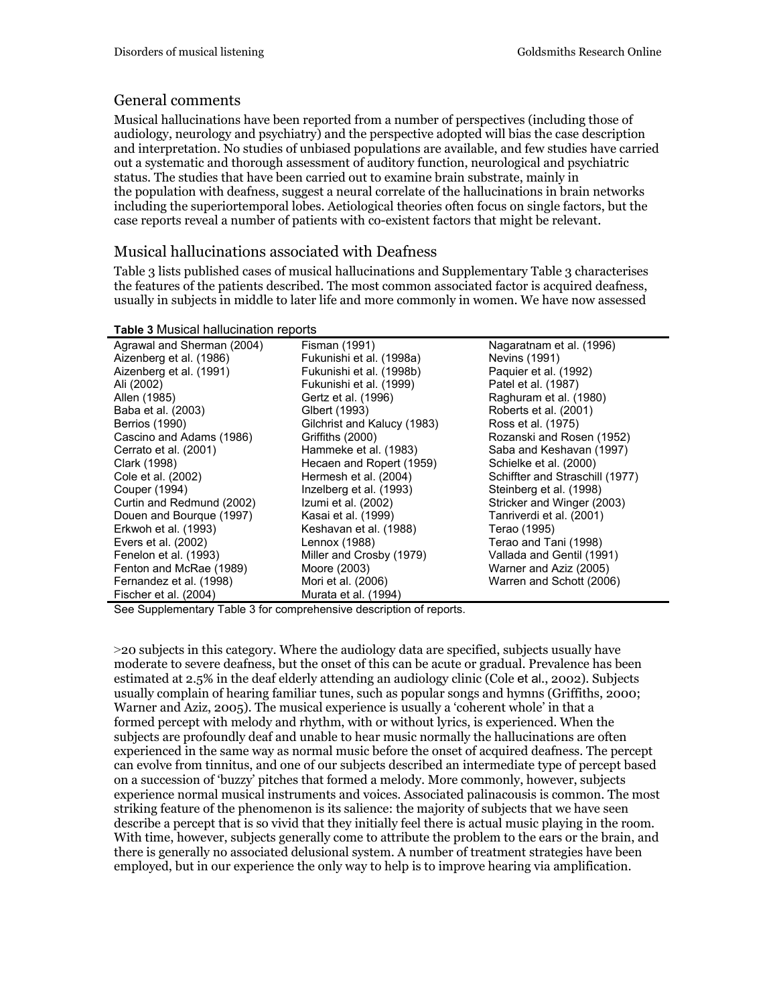#### General comments

Musical hallucinations have been reported from a number of perspectives (including those of audiology, neurology and psychiatry) and the perspective adopted will bias the case description and interpretation. No studies of unbiased populations are available, and few studies have carried out a systematic and thorough assessment of auditory function, neurological and psychiatric status. The studies that have been carried out to examine brain substrate, mainly in the population with deafness, suggest a neural correlate of the hallucinations in brain networks including the superiortemporal lobes. Aetiological theories often focus on single factors, but the case reports reveal a number of patients with co-existent factors that might be relevant.

#### Musical hallucinations associated with Deafness

Table 3 lists published cases of musical hallucinations and Supplementary Table 3 characterises the features of the patients described. The most common associated factor is acquired deafness, usually in subjects in middle to later life and more commonly in women. We have now assessed

| Agrawal and Sherman (2004) | Fisman (1991)               | Nagaratnam et al. (1996)        |
|----------------------------|-----------------------------|---------------------------------|
| Aizenberg et al. (1986)    | Fukunishi et al. (1998a)    | Nevins (1991)                   |
| Aizenberg et al. (1991)    | Fukunishi et al. (1998b)    | Paquier et al. (1992)           |
| Ali (2002)                 | Fukunishi et al. (1999)     | Patel et al. (1987)             |
| Allen (1985)               | Gertz et al. (1996)         | Raghuram et al. (1980)          |
| Baba et al. (2003)         | Glbert (1993)               | Roberts et al. (2001)           |
| <b>Berrios (1990)</b>      | Gilchrist and Kalucy (1983) | Ross et al. (1975)              |
| Cascino and Adams (1986)   | Griffiths (2000)            | Rozanski and Rosen (1952)       |
| Cerrato et al. (2001)      | Hammeke et al. (1983)       | Saba and Keshavan (1997)        |
| Clark (1998)               | Hecaen and Ropert (1959)    | Schielke et al. (2000)          |
| Cole et al. (2002)         | Hermesh et al. (2004)       | Schiffter and Straschill (1977) |
| Couper (1994)              | Inzelberg et al. (1993)     | Steinberg et al. (1998)         |
| Curtin and Redmund (2002)  | Izumi et al. (2002)         | Stricker and Winger (2003)      |
| Douen and Bourque (1997)   | Kasai et al. (1999)         | Tanriverdi et al. (2001)        |
| Erkwoh et al. (1993)       | Keshavan et al. (1988)      | Terao (1995)                    |
| Evers et al. (2002)        | Lennox (1988)               | Terao and Tani (1998)           |
| Fenelon et al. (1993)      | Miller and Crosby (1979)    | Vallada and Gentil (1991)       |
| Fenton and McRae (1989)    | Moore (2003)                | Warner and Aziz (2005)          |
| Fernandez et al. (1998)    | Mori et al. (2006)          | Warren and Schott (2006)        |
| Fischer et al. (2004)      | Murata et al. (1994)        |                                 |

#### **Table 3** Musical hallucination reports

See Supplementary Table 3 for comprehensive description of reports.

>20 subjects in this category. Where the audiology data are specified, subjects usually have moderate to severe deafness, but the onset of this can be acute or gradual. Prevalence has been estimated at 2.5% in the deaf elderly attending an audiology clinic (Cole et al., 2002). Subjects usually complain of hearing familiar tunes, such as popular songs and hymns (Griffiths, 2000; Warner and Aziz, 2005). The musical experience is usually a 'coherent whole' in that a formed percept with melody and rhythm, with or without lyrics, is experienced. When the subjects are profoundly deaf and unable to hear music normally the hallucinations are often experienced in the same way as normal music before the onset of acquired deafness. The percept can evolve from tinnitus, and one of our subjects described an intermediate type of percept based on a succession of 'buzzy' pitches that formed a melody. More commonly, however, subjects experience normal musical instruments and voices. Associated palinacousis is common. The most striking feature of the phenomenon is its salience: the majority of subjects that we have seen describe a percept that is so vivid that they initially feel there is actual music playing in the room. With time, however, subjects generally come to attribute the problem to the ears or the brain, and there is generally no associated delusional system. A number of treatment strategies have been employed, but in our experience the only way to help is to improve hearing via amplification.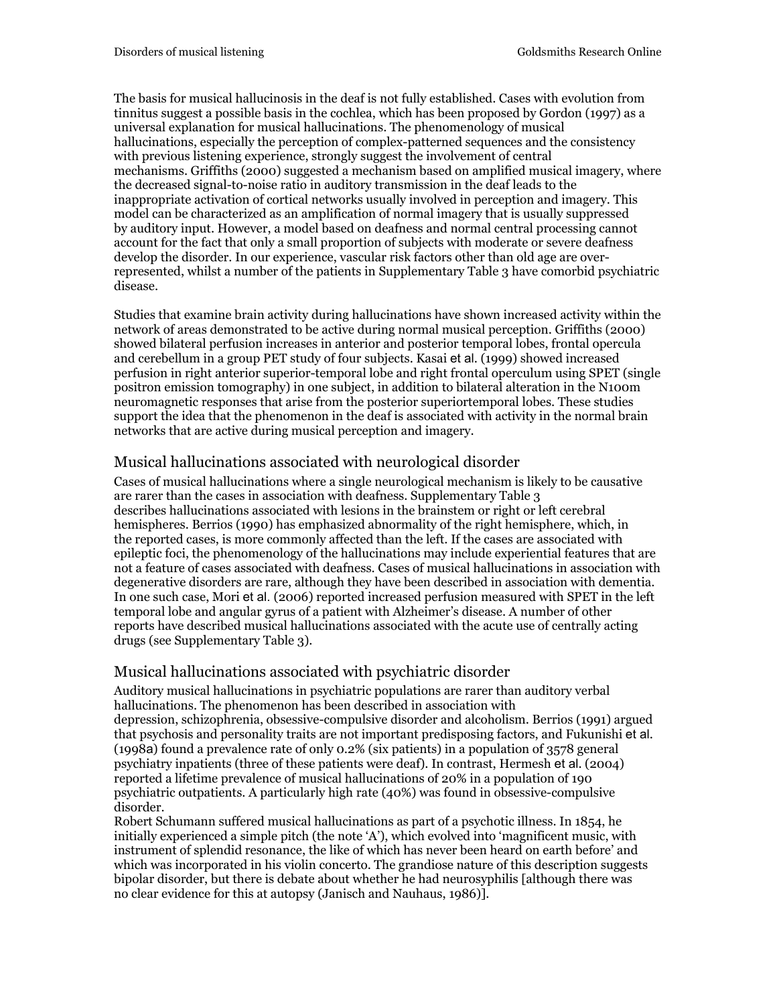The basis for musical hallucinosis in the deaf is not fully established. Cases with evolution from tinnitus suggest a possible basis in the cochlea, which has been proposed by Gordon (1997) as a universal explanation for musical hallucinations. The phenomenology of musical hallucinations, especially the perception of complex-patterned sequences and the consistency with previous listening experience, strongly suggest the involvement of central mechanisms. Griffiths (2000) suggested a mechanism based on amplified musical imagery, where the decreased signal-to-noise ratio in auditory transmission in the deaf leads to the inappropriate activation of cortical networks usually involved in perception and imagery. This model can be characterized as an amplification of normal imagery that is usually suppressed by auditory input. However, a model based on deafness and normal central processing cannot account for the fact that only a small proportion of subjects with moderate or severe deafness develop the disorder. In our experience, vascular risk factors other than old age are overrepresented, whilst a number of the patients in Supplementary Table 3 have comorbid psychiatric disease.

Studies that examine brain activity during hallucinations have shown increased activity within the network of areas demonstrated to be active during normal musical perception. Griffiths (2000) showed bilateral perfusion increases in anterior and posterior temporal lobes, frontal opercula and cerebellum in a group PET study of four subjects. Kasai et al. (1999) showed increased perfusion in right anterior superior-temporal lobe and right frontal operculum using SPET (single positron emission tomography) in one subject, in addition to bilateral alteration in the N100m neuromagnetic responses that arise from the posterior superiortemporal lobes. These studies support the idea that the phenomenon in the deaf is associated with activity in the normal brain networks that are active during musical perception and imagery.

#### Musical hallucinations associated with neurological disorder

Cases of musical hallucinations where a single neurological mechanism is likely to be causative are rarer than the cases in association with deafness. Supplementary Table 3 describes hallucinations associated with lesions in the brainstem or right or left cerebral hemispheres. Berrios (1990) has emphasized abnormality of the right hemisphere, which, in the reported cases, is more commonly affected than the left. If the cases are associated with epileptic foci, the phenomenology of the hallucinations may include experiential features that are not a feature of cases associated with deafness. Cases of musical hallucinations in association with degenerative disorders are rare, although they have been described in association with dementia. In one such case, Mori et al. (2006) reported increased perfusion measured with SPET in the left temporal lobe and angular gyrus of a patient with Alzheimer's disease. A number of other reports have described musical hallucinations associated with the acute use of centrally acting drugs (see Supplementary Table 3).

#### Musical hallucinations associated with psychiatric disorder

Auditory musical hallucinations in psychiatric populations are rarer than auditory verbal hallucinations. The phenomenon has been described in association with depression, schizophrenia, obsessive-compulsive disorder and alcoholism. Berrios (1991) argued that psychosis and personality traits are not important predisposing factors, and Fukunishi et al. (1998a) found a prevalence rate of only 0.2% (six patients) in a population of 3578 general psychiatry inpatients (three of these patients were deaf). In contrast, Hermesh et al. (2004) reported a lifetime prevalence of musical hallucinations of 20% in a population of 190 psychiatric outpatients. A particularly high rate (40%) was found in obsessive-compulsive disorder.

Robert Schumann suffered musical hallucinations as part of a psychotic illness. In 1854, he initially experienced a simple pitch (the note 'A'), which evolved into 'magnificent music, with instrument of splendid resonance, the like of which has never been heard on earth before' and which was incorporated in his violin concerto. The grandiose nature of this description suggests bipolar disorder, but there is debate about whether he had neurosyphilis [although there was no clear evidence for this at autopsy (Janisch and Nauhaus, 1986)].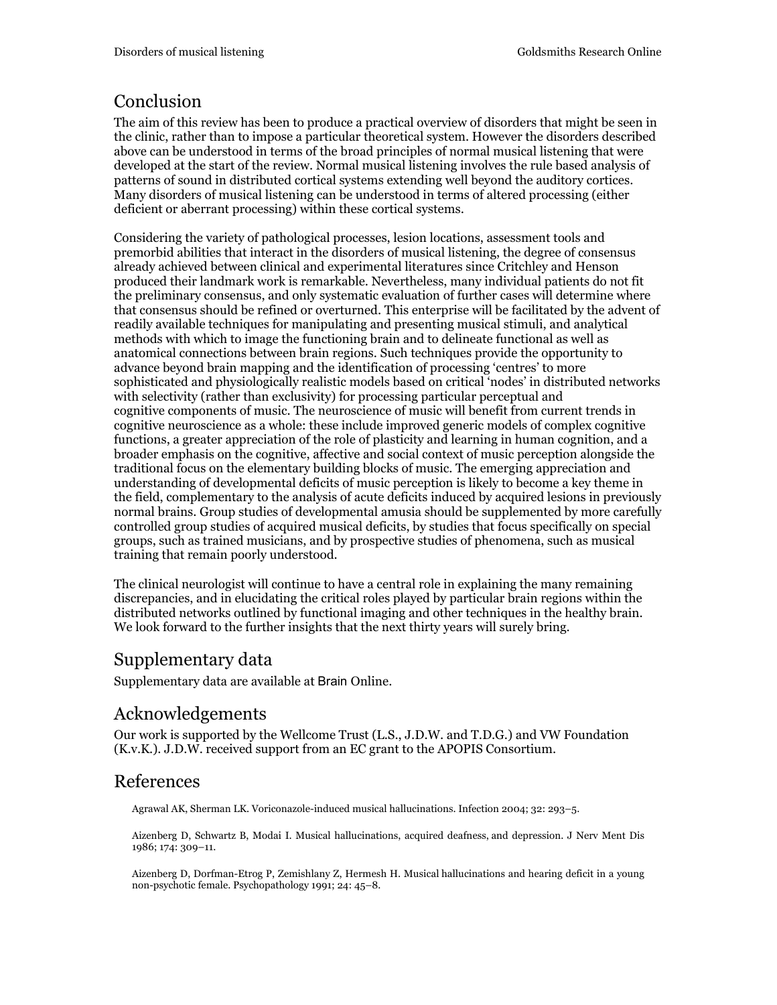# Conclusion

The aim of this review has been to produce a practical overview of disorders that might be seen in the clinic, rather than to impose a particular theoretical system. However the disorders described above can be understood in terms of the broad principles of normal musical listening that were developed at the start of the review. Normal musical listening involves the rule based analysis of patterns of sound in distributed cortical systems extending well beyond the auditory cortices. Many disorders of musical listening can be understood in terms of altered processing (either deficient or aberrant processing) within these cortical systems.

Considering the variety of pathological processes, lesion locations, assessment tools and premorbid abilities that interact in the disorders of musical listening, the degree of consensus already achieved between clinical and experimental literatures since Critchley and Henson produced their landmark work is remarkable. Nevertheless, many individual patients do not fit the preliminary consensus, and only systematic evaluation of further cases will determine where that consensus should be refined or overturned. This enterprise will be facilitated by the advent of readily available techniques for manipulating and presenting musical stimuli, and analytical methods with which to image the functioning brain and to delineate functional as well as anatomical connections between brain regions. Such techniques provide the opportunity to advance beyond brain mapping and the identification of processing 'centres' to more sophisticated and physiologically realistic models based on critical 'nodes' in distributed networks with selectivity (rather than exclusivity) for processing particular perceptual and cognitive components of music. The neuroscience of music will benefit from current trends in cognitive neuroscience as a whole: these include improved generic models of complex cognitive functions, a greater appreciation of the role of plasticity and learning in human cognition, and a broader emphasis on the cognitive, affective and social context of music perception alongside the traditional focus on the elementary building blocks of music. The emerging appreciation and understanding of developmental deficits of music perception is likely to become a key theme in the field, complementary to the analysis of acute deficits induced by acquired lesions in previously normal brains. Group studies of developmental amusia should be supplemented by more carefully controlled group studies of acquired musical deficits, by studies that focus specifically on special groups, such as trained musicians, and by prospective studies of phenomena, such as musical training that remain poorly understood.

The clinical neurologist will continue to have a central role in explaining the many remaining discrepancies, and in elucidating the critical roles played by particular brain regions within the distributed networks outlined by functional imaging and other techniques in the healthy brain. We look forward to the further insights that the next thirty years will surely bring.

# Supplementary data

Supplementary data are available at Brain Online.

### Acknowledgements

Our work is supported by the Wellcome Trust (L.S., J.D.W. and T.D.G.) and VW Foundation (K.v.K.). J.D.W. received support from an EC grant to the APOPIS Consortium.

### References

Agrawal AK, Sherman LK. Voriconazole-induced musical hallucinations. Infection 2004; 32: 293–5.

Aizenberg D, Schwartz B, Modai I. Musical hallucinations, acquired deafness, and depression. J Nerv Ment Dis 1986; 174: 309–11.

Aizenberg D, Dorfman-Etrog P, Zemishlany Z, Hermesh H. Musical hallucinations and hearing deficit in a young non-psychotic female. Psychopathology 1991; 24: 45–8.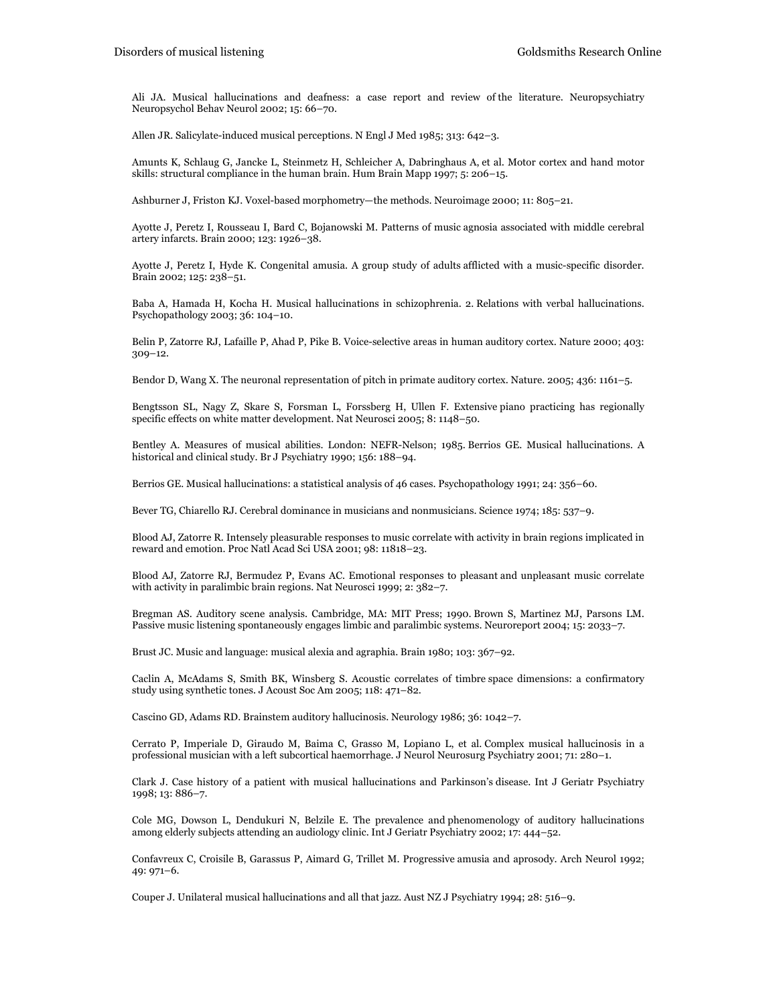Ali JA. Musical hallucinations and deafness: a case report and review of the literature. Neuropsychiatry Neuropsychol Behav Neurol 2002; 15: 66–70.

Allen JR. Salicylate-induced musical perceptions. N Engl J Med 1985; 313: 642–3.

Amunts K, Schlaug G, Jancke L, Steinmetz H, Schleicher A, Dabringhaus A, et al. Motor cortex and hand motor skills: structural compliance in the human brain. Hum Brain Mapp 1997; 5: 206–15.

Ashburner J, Friston KJ. Voxel-based morphometry—the methods. Neuroimage 2000; 11: 805–21.

Ayotte J, Peretz I, Rousseau I, Bard C, Bojanowski M. Patterns of music agnosia associated with middle cerebral artery infarcts. Brain 2000; 123: 1926–38.

Ayotte J, Peretz I, Hyde K. Congenital amusia. A group study of adults afflicted with a music-specific disorder. Brain 2002; 125: 238–51.

Baba A, Hamada H, Kocha H. Musical hallucinations in schizophrenia. 2. Relations with verbal hallucinations. Psychopathology 2003; 36: 104–10.

Belin P, Zatorre RJ, Lafaille P, Ahad P, Pike B. Voice-selective areas in human auditory cortex. Nature 2000; 403: 309–12.

Bendor D, Wang X. The neuronal representation of pitch in primate auditory cortex. Nature. 2005; 436: 1161–5.

Bengtsson SL, Nagy Z, Skare S, Forsman L, Forssberg H, Ullen F. Extensive piano practicing has regionally specific effects on white matter development. Nat Neurosci 2005; 8: 1148–50.

Bentley A. Measures of musical abilities. London: NEFR-Nelson; 1985. Berrios GE. Musical hallucinations. A historical and clinical study. Br J Psychiatry 1990; 156: 188–94.

Berrios GE. Musical hallucinations: a statistical analysis of 46 cases. Psychopathology 1991; 24: 356–60.

Bever TG, Chiarello RJ. Cerebral dominance in musicians and nonmusicians. Science 1974; 185: 537–9.

Blood AJ, Zatorre R. Intensely pleasurable responses to music correlate with activity in brain regions implicated in reward and emotion. Proc Natl Acad Sci USA 2001; 98: 11818–23.

Blood AJ, Zatorre RJ, Bermudez P, Evans AC. Emotional responses to pleasant and unpleasant music correlate with activity in paralimbic brain regions. Nat Neurosci 1999; 2: 382–7.

Bregman AS. Auditory scene analysis. Cambridge, MA: MIT Press; 1990. Brown S, Martinez MJ, Parsons LM. Passive music listening spontaneously engages limbic and paralimbic systems. Neuroreport 2004; 15: 2033–7.

Brust JC. Music and language: musical alexia and agraphia. Brain 1980; 103: 367–92.

Caclin A, McAdams S, Smith BK, Winsberg S. Acoustic correlates of timbre space dimensions: a confirmatory study using synthetic tones. J Acoust Soc Am 2005; 118: 471–82.

Cascino GD, Adams RD. Brainstem auditory hallucinosis. Neurology 1986; 36: 1042–7.

Cerrato P, Imperiale D, Giraudo M, Baima C, Grasso M, Lopiano L, et al. Complex musical hallucinosis in a professional musician with a left subcortical haemorrhage. J Neurol Neurosurg Psychiatry 2001; 71: 280–1.

Clark J. Case history of a patient with musical hallucinations and Parkinson's disease. Int J Geriatr Psychiatry 1998; 13: 886–7.

Cole MG, Dowson L, Dendukuri N, Belzile E. The prevalence and phenomenology of auditory hallucinations among elderly subjects attending an audiology clinic. Int J Geriatr Psychiatry 2002; 17: 444–52.

Confavreux C, Croisile B, Garassus P, Aimard G, Trillet M. Progressive amusia and aprosody. Arch Neurol 1992; 49: 971–6.

Couper J. Unilateral musical hallucinations and all that jazz. Aust NZ J Psychiatry 1994; 28: 516–9.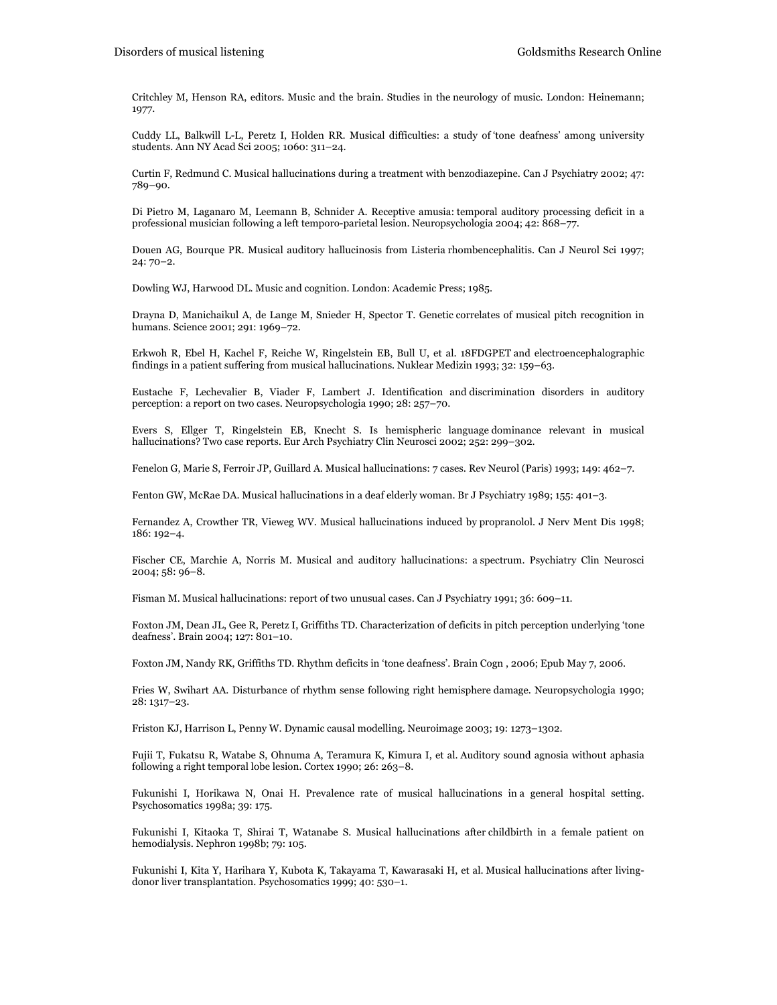Critchley M, Henson RA, editors. Music and the brain. Studies in the neurology of music. London: Heinemann; 1977.

Cuddy LL, Balkwill L-L, Peretz I, Holden RR. Musical difficulties: a study of 'tone deafness' among university students. Ann NY Acad Sci 2005; 1060: 311–24.

Curtin F, Redmund C. Musical hallucinations during a treatment with benzodiazepine. Can J Psychiatry 2002; 47: 789–90.

Di Pietro M, Laganaro M, Leemann B, Schnider A. Receptive amusia: temporal auditory processing deficit in a professional musician following a left temporo-parietal lesion. Neuropsychologia 2004; 42: 868–77.

Douen AG, Bourque PR. Musical auditory hallucinosis from Listeria rhombencephalitis. Can J Neurol Sci 1997; 24: 70–2.

Dowling WJ, Harwood DL. Music and cognition. London: Academic Press; 1985.

Drayna D, Manichaikul A, de Lange M, Snieder H, Spector T. Genetic correlates of musical pitch recognition in humans. Science 2001; 291: 1969–72.

Erkwoh R, Ebel H, Kachel F, Reiche W, Ringelstein EB, Bull U, et al. 18FDGPET and electroencephalographic findings in a patient suffering from musical hallucinations. Nuklear Medizin 1993; 32: 159–63.

Eustache F, Lechevalier B, Viader F, Lambert J. Identification and discrimination disorders in auditory perception: a report on two cases. Neuropsychologia 1990; 28: 257–70.

Evers S, Ellger T, Ringelstein EB, Knecht S. Is hemispheric language dominance relevant in musical hallucinations? Two case reports. Eur Arch Psychiatry Clin Neurosci 2002; 252: 299–302.

Fenelon G, Marie S, Ferroir JP, Guillard A. Musical hallucinations: 7 cases. Rev Neurol (Paris) 1993; 149: 462–7.

Fenton GW, McRae DA. Musical hallucinations in a deaf elderly woman. Br J Psychiatry 1989; 155: 401–3.

Fernandez A, Crowther TR, Vieweg WV. Musical hallucinations induced by propranolol. J Nerv Ment Dis 1998; 186: 192–4.

Fischer CE, Marchie A, Norris M. Musical and auditory hallucinations: a spectrum. Psychiatry Clin Neurosci 2004; 58: 96–8.

Fisman M. Musical hallucinations: report of two unusual cases. Can J Psychiatry 1991; 36: 609–11.

Foxton JM, Dean JL, Gee R, Peretz I, Griffiths TD. Characterization of deficits in pitch perception underlying 'tone deafness'. Brain 2004; 127: 801–10.

Foxton JM, Nandy RK, Griffiths TD. Rhythm deficits in 'tone deafness'. Brain Cogn , 2006; Epub May 7, 2006.

Fries W, Swihart AA. Disturbance of rhythm sense following right hemisphere damage. Neuropsychologia 1990; 28: 1317–23.

Friston KJ, Harrison L, Penny W. Dynamic causal modelling. Neuroimage 2003; 19: 1273–1302.

Fujii T, Fukatsu R, Watabe S, Ohnuma A, Teramura K, Kimura I, et al. Auditory sound agnosia without aphasia following a right temporal lobe lesion. Cortex 1990; 26: 263–8.

Fukunishi I, Horikawa N, Onai H. Prevalence rate of musical hallucinations in a general hospital setting. Psychosomatics 1998a; 39: 175.

Fukunishi I, Kitaoka T, Shirai T, Watanabe S. Musical hallucinations after childbirth in a female patient on hemodialysis. Nephron 1998b; 79: 105.

Fukunishi I, Kita Y, Harihara Y, Kubota K, Takayama T, Kawarasaki H, et al. Musical hallucinations after livingdonor liver transplantation. Psychosomatics 1999; 40: 530–1.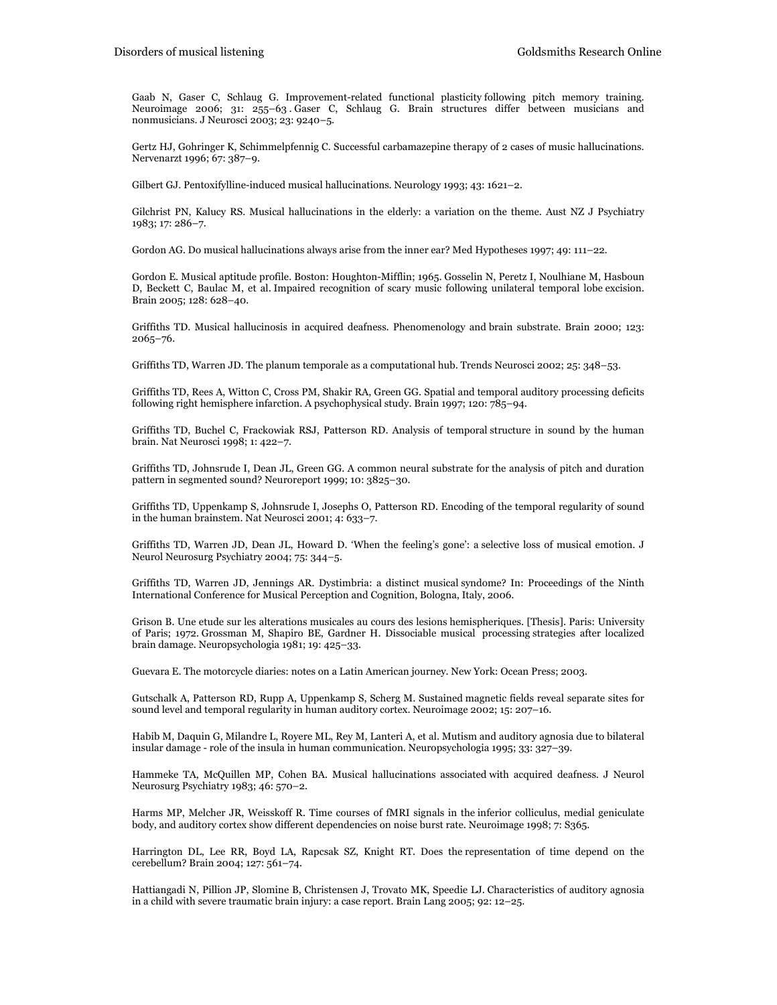Gaab N, Gaser C, Schlaug G. Improvement-related functional plasticity following pitch memory training. Neuroimage 2006; 31: 255–63 . Gaser C, Schlaug G. Brain structures differ between musicians and nonmusicians. J Neurosci 2003; 23: 9240–5.

Gertz HJ, Gohringer K, Schimmelpfennig C. Successful carbamazepine therapy of 2 cases of music hallucinations. Nervenarzt 1996; 67: 387–9.

Gilbert GJ. Pentoxifylline-induced musical hallucinations. Neurology 1993; 43: 1621–2.

Gilchrist PN, Kalucy RS. Musical hallucinations in the elderly: a variation on the theme. Aust NZ J Psychiatry 1983; 17: 286–7.

Gordon AG. Do musical hallucinations always arise from the inner ear? Med Hypotheses 1997; 49: 111–22.

Gordon E. Musical aptitude profile. Boston: Houghton-Mifflin; 1965. Gosselin N, Peretz I, Noulhiane M, Hasboun D, Beckett C, Baulac M, et al. Impaired recognition of scary music following unilateral temporal lobe excision. Brain 2005; 128: 628–40.

Griffiths TD. Musical hallucinosis in acquired deafness. Phenomenology and brain substrate. Brain 2000; 123: 2065–76.

Griffiths TD, Warren JD. The planum temporale as a computational hub. Trends Neurosci 2002; 25: 348–53.

Griffiths TD, Rees A, Witton C, Cross PM, Shakir RA, Green GG. Spatial and temporal auditory processing deficits following right hemisphere infarction. A psychophysical study. Brain 1997; 120: 785–94.

Griffiths TD, Buchel C, Frackowiak RSJ, Patterson RD. Analysis of temporal structure in sound by the human brain. Nat Neurosci 1998; 1: 422–7.

Griffiths TD, Johnsrude I, Dean JL, Green GG. A common neural substrate for the analysis of pitch and duration pattern in segmented sound? Neuroreport 1999; 10: 3825–30.

Griffiths TD, Uppenkamp S, Johnsrude I, Josephs O, Patterson RD. Encoding of the temporal regularity of sound in the human brainstem. Nat Neurosci 2001; 4: 633–7.

Griffiths TD, Warren JD, Dean JL, Howard D. 'When the feeling's gone': a selective loss of musical emotion. J Neurol Neurosurg Psychiatry 2004; 75: 344–5.

Griffiths TD, Warren JD, Jennings AR. Dystimbria: a distinct musical syndome? In: Proceedings of the Ninth International Conference for Musical Perception and Cognition, Bologna, Italy, 2006.

Grison B. Une etude sur les alterations musicales au cours des lesions hemispheriques. [Thesis]. Paris: University of Paris; 1972. Grossman M, Shapiro BE, Gardner H. Dissociable musical processing strategies after localized brain damage. Neuropsychologia 1981; 19: 425–33.

Guevara E. The motorcycle diaries: notes on a Latin American journey. New York: Ocean Press; 2003.

Gutschalk A, Patterson RD, Rupp A, Uppenkamp S, Scherg M. Sustained magnetic fields reveal separate sites for sound level and temporal regularity in human auditory cortex. Neuroimage 2002; 15: 207–16.

Habib M, Daquin G, Milandre L, Royere ML, Rey M, Lanteri A, et al. Mutism and auditory agnosia due to bilateral insular damage - role of the insula in human communication. Neuropsychologia 1995; 33: 327–39.

Hammeke TA, McQuillen MP, Cohen BA. Musical hallucinations associated with acquired deafness. J Neurol Neurosurg Psychiatry 1983; 46: 570–2.

Harms MP, Melcher JR, Weisskoff R. Time courses of fMRI signals in the inferior colliculus, medial geniculate body, and auditory cortex show different dependencies on noise burst rate. Neuroimage 1998; 7: S365.

Harrington DL, Lee RR, Boyd LA, Rapcsak SZ, Knight RT. Does the representation of time depend on the cerebellum? Brain 2004; 127: 561–74.

Hattiangadi N, Pillion JP, Slomine B, Christensen J, Trovato MK, Speedie LJ. Characteristics of auditory agnosia in a child with severe traumatic brain injury: a case report. Brain Lang 2005; 92: 12–25.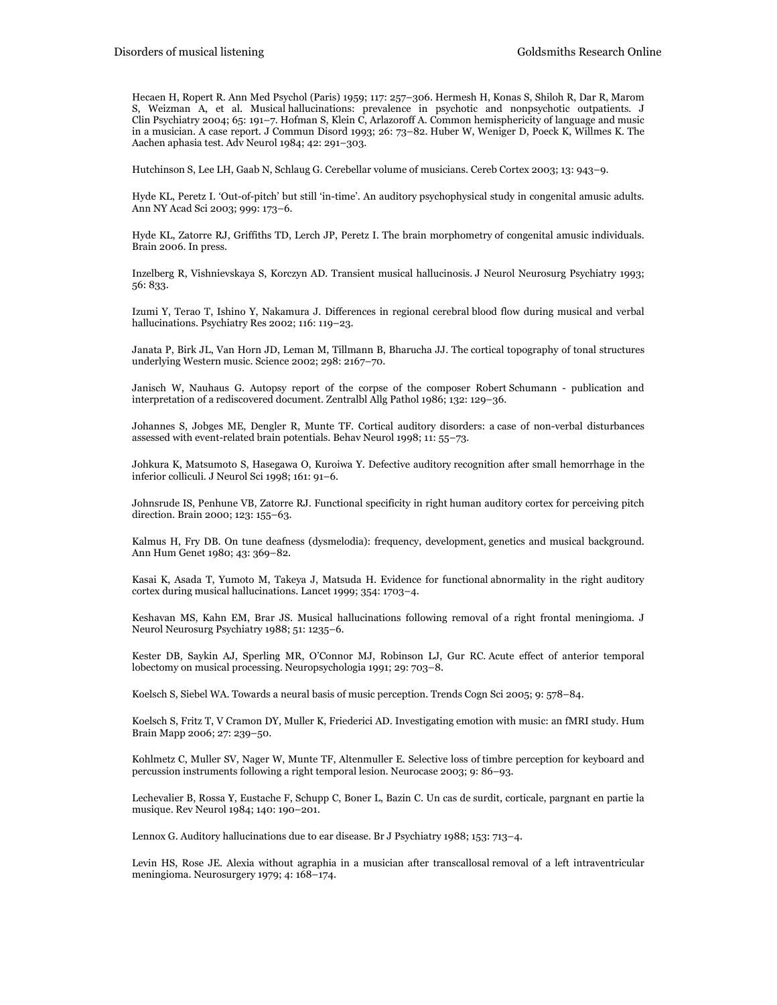Hecaen H, Ropert R. Ann Med Psychol (Paris) 1959; 117: 257–306. Hermesh H, Konas S, Shiloh R, Dar R, Marom S, Weizman A, et al. Musical hallucinations: prevalence in psychotic and nonpsychotic outpatients. J Clin Psychiatry 2004; 65: 191–7. Hofman S, Klein C, Arlazoroff A. Common hemisphericity of language and music in a musician. A case report. J Commun Disord 1993; 26: 73–82. Huber W, Weniger D, Poeck K, Willmes K. The Aachen aphasia test. Adv Neurol 1984; 42: 291–303.

Hutchinson S, Lee LH, Gaab N, Schlaug G. Cerebellar volume of musicians. Cereb Cortex 2003; 13: 943–9.

Hyde KL, Peretz I. 'Out-of-pitch' but still 'in-time'. An auditory psychophysical study in congenital amusic adults. Ann NY Acad Sci 2003; 999: 173–6.

Hyde KL, Zatorre RJ, Griffiths TD, Lerch JP, Peretz I. The brain morphometry of congenital amusic individuals. Brain 2006. In press.

Inzelberg R, Vishnievskaya S, Korczyn AD. Transient musical hallucinosis. J Neurol Neurosurg Psychiatry 1993; 56: 833.

Izumi Y, Terao T, Ishino Y, Nakamura J. Differences in regional cerebral blood flow during musical and verbal hallucinations. Psychiatry Res 2002; 116: 119–23.

Janata P, Birk JL, Van Horn JD, Leman M, Tillmann B, Bharucha JJ. The cortical topography of tonal structures underlying Western music. Science 2002; 298: 2167–70.

Janisch W, Nauhaus G. Autopsy report of the corpse of the composer Robert Schumann - publication and interpretation of a rediscovered document. Zentralbl Allg Pathol 1986; 132: 129–36.

Johannes S, Jobges ME, Dengler R, Munte TF. Cortical auditory disorders: a case of non-verbal disturbances assessed with event-related brain potentials. Behav Neurol 1998; 11: 55–73.

Johkura K, Matsumoto S, Hasegawa O, Kuroiwa Y. Defective auditory recognition after small hemorrhage in the inferior colliculi. J Neurol Sci 1998; 161: 91–6.

Johnsrude IS, Penhune VB, Zatorre RJ. Functional specificity in right human auditory cortex for perceiving pitch direction. Brain 2000; 123: 155–63.

Kalmus H, Fry DB. On tune deafness (dysmelodia): frequency, development, genetics and musical background. Ann Hum Genet 1980; 43: 369–82.

Kasai K, Asada T, Yumoto M, Takeya J, Matsuda H. Evidence for functional abnormality in the right auditory cortex during musical hallucinations. Lancet 1999; 354: 1703–4.

Keshavan MS, Kahn EM, Brar JS. Musical hallucinations following removal of a right frontal meningioma. J Neurol Neurosurg Psychiatry 1988; 51: 1235–6.

Kester DB, Saykin AJ, Sperling MR, O'Connor MJ, Robinson LJ, Gur RC. Acute effect of anterior temporal lobectomy on musical processing. Neuropsychologia 1991; 29: 703–8.

Koelsch S, Siebel WA. Towards a neural basis of music perception. Trends Cogn Sci 2005; 9: 578–84.

Koelsch S, Fritz T, V Cramon DY, Muller K, Friederici AD. Investigating emotion with music: an fMRI study. Hum Brain Mapp 2006; 27: 239–50.

Kohlmetz C, Muller SV, Nager W, Munte TF, Altenmuller E. Selective loss of timbre perception for keyboard and percussion instruments following a right temporal lesion. Neurocase 2003; 9: 86–93.

Lechevalier B, Rossa Y, Eustache F, Schupp C, Boner L, Bazin C. Un cas de surdit, corticale, pargnant en partie la musique. Rev Neurol 1984; 140: 190–201.

Lennox G. Auditory hallucinations due to ear disease. Br J Psychiatry 1988; 153: 713–4.

Levin HS, Rose JE. Alexia without agraphia in a musician after transcallosal removal of a left intraventricular meningioma. Neurosurgery 1979; 4: 168–174.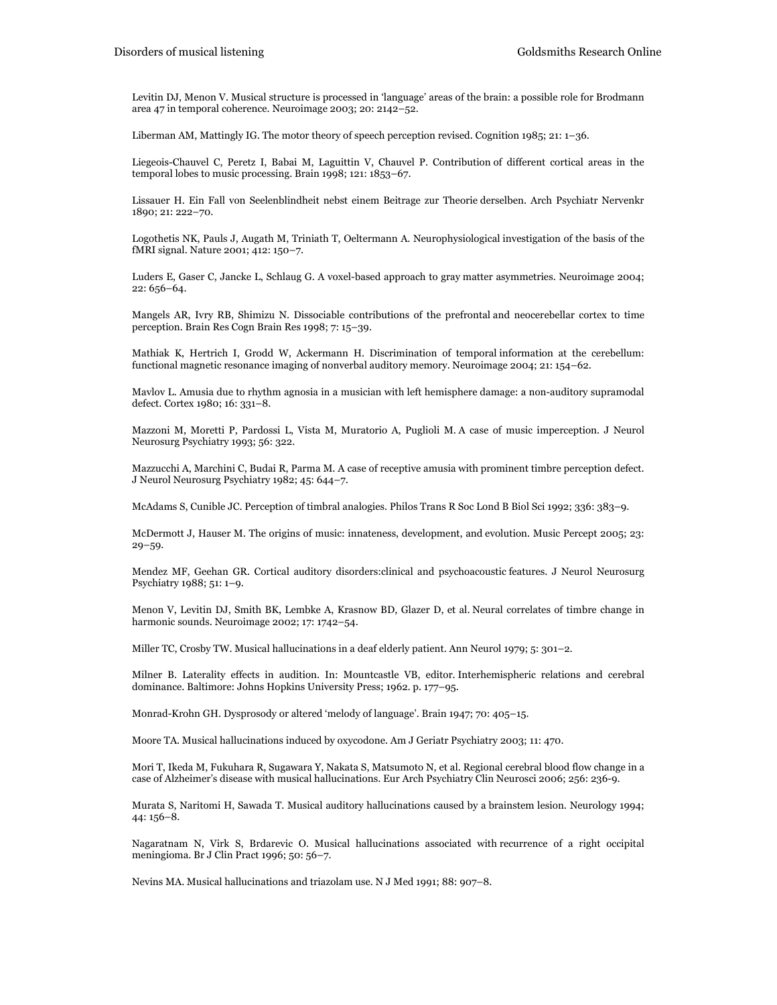Levitin DJ, Menon V. Musical structure is processed in 'language' areas of the brain: a possible role for Brodmann area 47 in temporal coherence. Neuroimage 2003; 20: 2142–52.

Liberman AM, Mattingly IG. The motor theory of speech perception revised. Cognition 1985; 21: 1–36.

Liegeois-Chauvel C, Peretz I, Babai M, Laguittin V, Chauvel P. Contribution of different cortical areas in the temporal lobes to music processing. Brain 1998; 121: 1853–67.

Lissauer H. Ein Fall von Seelenblindheit nebst einem Beitrage zur Theorie derselben. Arch Psychiatr Nervenkr 1890; 21: 222–70.

Logothetis NK, Pauls J, Augath M, Triniath T, Oeltermann A. Neurophysiological investigation of the basis of the fMRI signal. Nature 2001; 412: 150–7.

Luders E, Gaser C, Jancke L, Schlaug G. A voxel-based approach to gray matter asymmetries. Neuroimage 2004; 22: 656–64.

Mangels AR, Ivry RB, Shimizu N. Dissociable contributions of the prefrontal and neocerebellar cortex to time perception. Brain Res Cogn Brain Res 1998; 7: 15–39.

Mathiak K, Hertrich I, Grodd W, Ackermann H. Discrimination of temporal information at the cerebellum: functional magnetic resonance imaging of nonverbal auditory memory. Neuroimage 2004; 21: 154–62.

Mavlov L. Amusia due to rhythm agnosia in a musician with left hemisphere damage: a non-auditory supramodal defect. Cortex 1980; 16: 331–8.

Mazzoni M, Moretti P, Pardossi L, Vista M, Muratorio A, Puglioli M. A case of music imperception. J Neurol Neurosurg Psychiatry 1993; 56: 322.

Mazzucchi A, Marchini C, Budai R, Parma M. A case of receptive amusia with prominent timbre perception defect. J Neurol Neurosurg Psychiatry 1982; 45: 644–7.

McAdams S, Cunible JC. Perception of timbral analogies. Philos Trans R Soc Lond B Biol Sci 1992; 336: 383–9.

McDermott J, Hauser M. The origins of music: innateness, development, and evolution. Music Percept 2005; 23: 29–59.

Mendez MF, Geehan GR. Cortical auditory disorders:clinical and psychoacoustic features. J Neurol Neurosurg Psychiatry 1988; 51: 1–9.

Menon V, Levitin DJ, Smith BK, Lembke A, Krasnow BD, Glazer D, et al. Neural correlates of timbre change in harmonic sounds. Neuroimage 2002; 17: 1742–54.

Miller TC, Crosby TW. Musical hallucinations in a deaf elderly patient. Ann Neurol 1979; 5: 301–2.

Milner B. Laterality effects in audition. In: Mountcastle VB, editor. Interhemispheric relations and cerebral dominance. Baltimore: Johns Hopkins University Press; 1962. p. 177–95.

Monrad-Krohn GH. Dysprosody or altered 'melody of language'. Brain 1947; 70: 405–15.

Moore TA. Musical hallucinations induced by oxycodone. Am J Geriatr Psychiatry 2003; 11: 470.

Mori T, Ikeda M, Fukuhara R, Sugawara Y, Nakata S, Matsumoto N, et al. Regional cerebral blood flow change in a case of Alzheimer's disease with musical hallucinations. Eur Arch Psychiatry Clin Neurosci 2006; 256: 236-9.

Murata S, Naritomi H, Sawada T. Musical auditory hallucinations caused by a brainstem lesion. Neurology 1994; 44: 156–8.

Nagaratnam N, Virk S, Brdarevic O. Musical hallucinations associated with recurrence of a right occipital meningioma. Br J Clin Pract 1996; 50: 56–7.

Nevins MA. Musical hallucinations and triazolam use. N J Med 1991; 88: 907–8.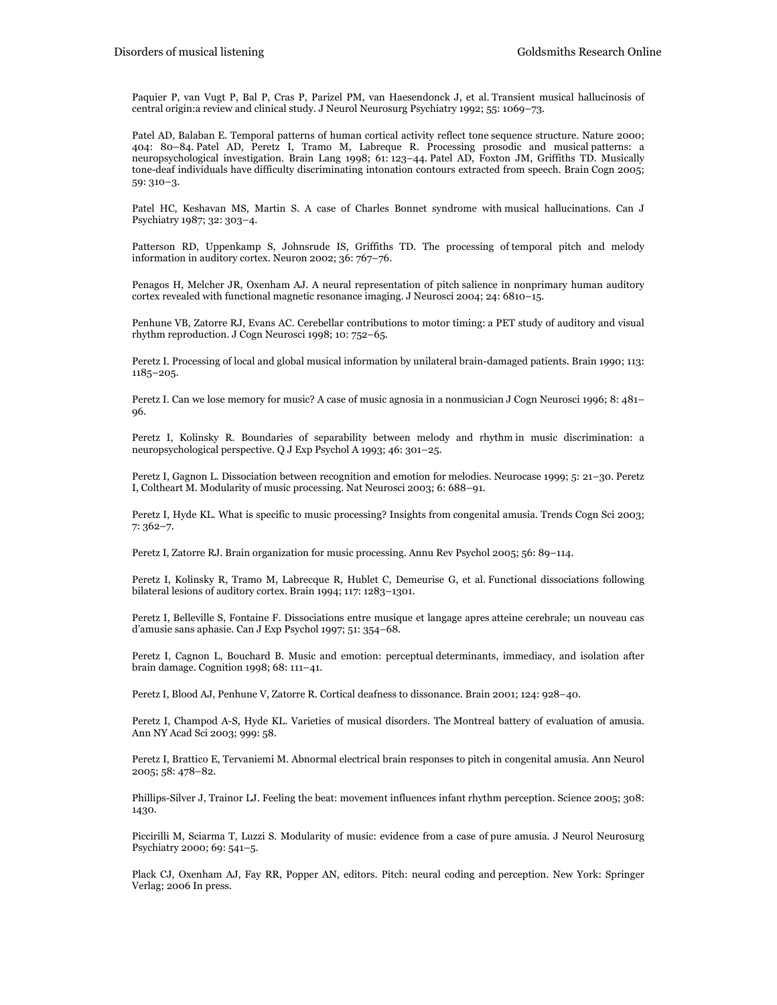Paquier P, van Vugt P, Bal P, Cras P, Parizel PM, van Haesendonck J, et al. Transient musical hallucinosis of central origin:a review and clinical study. J Neurol Neurosurg Psychiatry 1992; 55: 1069–73.

Patel AD, Balaban E. Temporal patterns of human cortical activity reflect tone sequence structure. Nature 2000; 404: 80–84. Patel AD, Peretz I, Tramo M, Labreque R. Processing prosodic and musical patterns: a neuropsychological investigation. Brain Lang 1998; 61: 123–44. Patel AD, Foxton JM, Griffiths TD. Musically tone-deaf individuals have difficulty discriminating intonation contours extracted from speech. Brain Cogn 2005; 59: 310–3.

Patel HC, Keshavan MS, Martin S. A case of Charles Bonnet syndrome with musical hallucinations. Can J Psychiatry 1987; 32: 303–4.

Patterson RD, Uppenkamp S, Johnsrude IS, Griffiths TD. The processing of temporal pitch and melody information in auditory cortex. Neuron 2002; 36: 767–76.

Penagos H, Melcher JR, Oxenham AJ. A neural representation of pitch salience in nonprimary human auditory cortex revealed with functional magnetic resonance imaging. J Neurosci 2004; 24: 6810–15.

Penhune VB, Zatorre RJ, Evans AC. Cerebellar contributions to motor timing: a PET study of auditory and visual rhythm reproduction. J Cogn Neurosci 1998; 10: 752–65.

Peretz I. Processing of local and global musical information by unilateral brain-damaged patients. Brain 1990; 113: 1185–205.

Peretz I. Can we lose memory for music? A case of music agnosia in a nonmusician J Cogn Neurosci 1996; 8: 481– 96.

Peretz I, Kolinsky R. Boundaries of separability between melody and rhythm in music discrimination: a neuropsychological perspective. Q J Exp Psychol A 1993; 46: 301–25.

Peretz I, Gagnon L. Dissociation between recognition and emotion for melodies. Neurocase 1999; 5: 21–30. Peretz I, Coltheart M. Modularity of music processing. Nat Neurosci 2003; 6: 688–91.

Peretz I, Hyde KL. What is specific to music processing? Insights from congenital amusia. Trends Cogn Sci 2003; 7: 362–7.

Peretz I, Zatorre RJ. Brain organization for music processing. Annu Rev Psychol 2005; 56: 89–114.

Peretz I, Kolinsky R, Tramo M, Labrecque R, Hublet C, Demeurise G, et al. Functional dissociations following bilateral lesions of auditory cortex. Brain 1994; 117: 1283–1301.

Peretz I, Belleville S, Fontaine F. Dissociations entre musique et langage apres atteine cerebrale; un nouveau cas d'amusie sans aphasie. Can J Exp Psychol 1997; 51: 354–68.

Peretz I, Cagnon L, Bouchard B. Music and emotion: perceptual determinants, immediacy, and isolation after brain damage. Cognition 1998; 68: 111–41.

Peretz I, Blood AJ, Penhune V, Zatorre R. Cortical deafness to dissonance. Brain 2001; 124: 928–40.

Peretz I, Champod A-S, Hyde KL. Varieties of musical disorders. The Montreal battery of evaluation of amusia. Ann NY Acad Sci 2003; 999: 58.

Peretz I, Brattico E, Tervaniemi M. Abnormal electrical brain responses to pitch in congenital amusia. Ann Neurol 2005; 58: 478–82.

Phillips-Silver J, Trainor LJ. Feeling the beat: movement influences infant rhythm perception. Science 2005; 308: 1430.

Piccirilli M, Sciarma T, Luzzi S. Modularity of music: evidence from a case of pure amusia. J Neurol Neurosurg Psychiatry 2000; 69: 541–5.

Plack CJ, Oxenham AJ, Fay RR, Popper AN, editors. Pitch: neural coding and perception. New York: Springer Verlag; 2006 In press.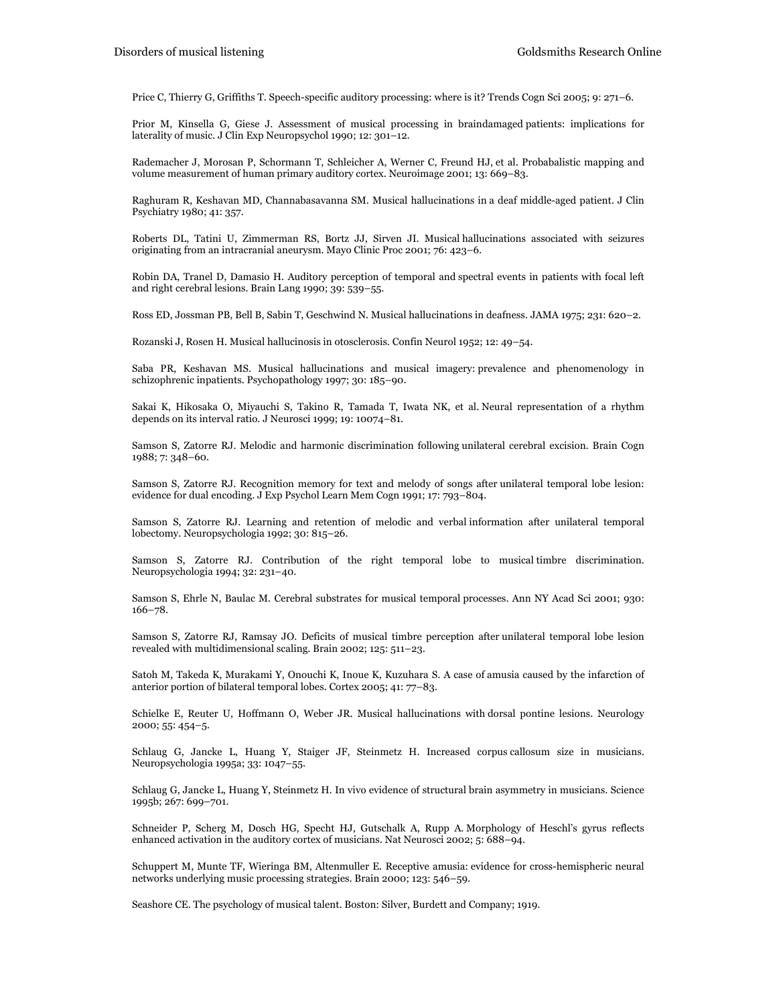Price C, Thierry G, Griffiths T. Speech-specific auditory processing: where is it? Trends Cogn Sci 2005; 9: 271–6.

Prior M, Kinsella G, Giese J. Assessment of musical processing in braindamaged patients: implications for laterality of music. J Clin Exp Neuropsychol 1990; 12: 301–12.

Rademacher J, Morosan P, Schormann T, Schleicher A, Werner C, Freund HJ, et al. Probabalistic mapping and volume measurement of human primary auditory cortex. Neuroimage 2001; 13: 669–83.

Raghuram R, Keshavan MD, Channabasavanna SM. Musical hallucinations in a deaf middle-aged patient. J Clin Psychiatry 1980; 41: 357.

Roberts DL, Tatini U, Zimmerman RS, Bortz JJ, Sirven JI. Musical hallucinations associated with seizures originating from an intracranial aneurysm. Mayo Clinic Proc 2001; 76: 423–6.

Robin DA, Tranel D, Damasio H. Auditory perception of temporal and spectral events in patients with focal left and right cerebral lesions. Brain Lang 1990; 39: 539–55.

Ross ED, Jossman PB, Bell B, Sabin T, Geschwind N. Musical hallucinations in deafness. JAMA 1975; 231: 620–2.

Rozanski J, Rosen H. Musical hallucinosis in otosclerosis. Confin Neurol 1952; 12: 49–54.

Saba PR, Keshavan MS. Musical hallucinations and musical imagery: prevalence and phenomenology in schizophrenic inpatients. Psychopathology 1997; 30: 185–90.

Sakai K, Hikosaka O, Miyauchi S, Takino R, Tamada T, Iwata NK, et al. Neural representation of a rhythm depends on its interval ratio. J Neurosci 1999; 19: 10074–81.

Samson S, Zatorre RJ. Melodic and harmonic discrimination following unilateral cerebral excision. Brain Cogn 1988; 7: 348–60.

Samson S, Zatorre RJ. Recognition memory for text and melody of songs after unilateral temporal lobe lesion: evidence for dual encoding. J Exp Psychol Learn Mem Cogn 1991; 17: 793–804.

Samson S, Zatorre RJ. Learning and retention of melodic and verbal information after unilateral temporal lobectomy. Neuropsychologia 1992; 30: 815–26.

Samson S, Zatorre RJ. Contribution of the right temporal lobe to musical timbre discrimination. Neuropsychologia 1994; 32: 231–40.

Samson S, Ehrle N, Baulac M. Cerebral substrates for musical temporal processes. Ann NY Acad Sci 2001; 930: 166–78.

Samson S, Zatorre RJ, Ramsay JO. Deficits of musical timbre perception after unilateral temporal lobe lesion revealed with multidimensional scaling. Brain 2002; 125: 511–23.

Satoh M, Takeda K, Murakami Y, Onouchi K, Inoue K, Kuzuhara S. A case of amusia caused by the infarction of anterior portion of bilateral temporal lobes. Cortex 2005; 41: 77–83.

Schielke E, Reuter U, Hoffmann O, Weber JR. Musical hallucinations with dorsal pontine lesions. Neurology 2000; 55: 454–5.

Schlaug G, Jancke L, Huang Y, Staiger JF, Steinmetz H. Increased corpus callosum size in musicians. Neuropsychologia 1995a; 33: 1047–55.

Schlaug G, Jancke L, Huang Y, Steinmetz H. In vivo evidence of structural brain asymmetry in musicians. Science 1995b; 267: 699–701.

Schneider P, Scherg M, Dosch HG, Specht HJ, Gutschalk A, Rupp A. Morphology of Heschl's gyrus reflects enhanced activation in the auditory cortex of musicians. Nat Neurosci 2002; 5: 688–94.

Schuppert M, Munte TF, Wieringa BM, Altenmuller E. Receptive amusia: evidence for cross-hemispheric neural networks underlying music processing strategies. Brain 2000; 123: 546–59.

Seashore CE. The psychology of musical talent. Boston: Silver, Burdett and Company; 1919.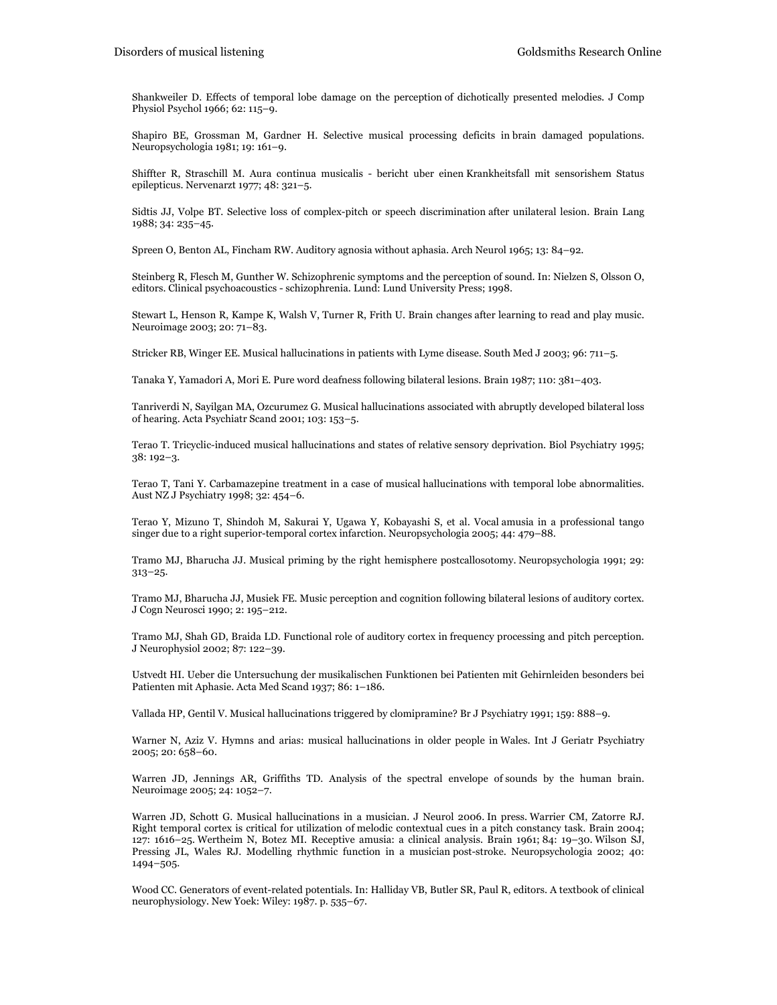Shankweiler D. Effects of temporal lobe damage on the perception of dichotically presented melodies. J Comp Physiol Psychol 1966; 62: 115–9.

Shapiro BE, Grossman M, Gardner H. Selective musical processing deficits in brain damaged populations. Neuropsychologia 1981; 19: 161–9.

Shiffter R, Straschill M. Aura continua musicalis - bericht uber einen Krankheitsfall mit sensorishem Status epilepticus. Nervenarzt 1977; 48: 321–5.

Sidtis JJ, Volpe BT. Selective loss of complex-pitch or speech discrimination after unilateral lesion. Brain Lang 1988; 34: 235–45.

Spreen O, Benton AL, Fincham RW. Auditory agnosia without aphasia. Arch Neurol 1965; 13: 84–92.

Steinberg R, Flesch M, Gunther W. Schizophrenic symptoms and the perception of sound. In: Nielzen S, Olsson O, editors. Clinical psychoacoustics - schizophrenia. Lund: Lund University Press; 1998.

Stewart L, Henson R, Kampe K, Walsh V, Turner R, Frith U. Brain changes after learning to read and play music. Neuroimage 2003; 20: 71–83.

Stricker RB, Winger EE. Musical hallucinations in patients with Lyme disease. South Med J 2003; 96: 711–5.

Tanaka Y, Yamadori A, Mori E. Pure word deafness following bilateral lesions. Brain 1987; 110: 381–403.

Tanriverdi N, Sayilgan MA, Ozcurumez G. Musical hallucinations associated with abruptly developed bilateral loss of hearing. Acta Psychiatr Scand 2001; 103: 153–5.

Terao T. Tricyclic-induced musical hallucinations and states of relative sensory deprivation. Biol Psychiatry 1995; 38: 192–3.

Terao T, Tani Y. Carbamazepine treatment in a case of musical hallucinations with temporal lobe abnormalities. Aust NZ J Psychiatry 1998; 32: 454–6.

Terao Y, Mizuno T, Shindoh M, Sakurai Y, Ugawa Y, Kobayashi S, et al. Vocal amusia in a professional tango singer due to a right superior-temporal cortex infarction. Neuropsychologia 2005; 44: 479–88.

Tramo MJ, Bharucha JJ. Musical priming by the right hemisphere postcallosotomy. Neuropsychologia 1991; 29: 313–25.

Tramo MJ, Bharucha JJ, Musiek FE. Music perception and cognition following bilateral lesions of auditory cortex. J Cogn Neurosci 1990; 2: 195–212.

Tramo MJ, Shah GD, Braida LD. Functional role of auditory cortex in frequency processing and pitch perception. J Neurophysiol 2002; 87: 122–39.

Ustvedt HI. Ueber die Untersuchung der musikalischen Funktionen bei Patienten mit Gehirnleiden besonders bei Patienten mit Aphasie. Acta Med Scand 1937; 86: 1–186.

Vallada HP, Gentil V. Musical hallucinations triggered by clomipramine? Br J Psychiatry 1991; 159: 888–9.

Warner N, Aziz V. Hymns and arias: musical hallucinations in older people in Wales. Int J Geriatr Psychiatry 2005; 20: 658–60.

Warren JD, Jennings AR, Griffiths TD. Analysis of the spectral envelope of sounds by the human brain. Neuroimage 2005; 24: 1052–7.

Warren JD, Schott G. Musical hallucinations in a musician. J Neurol 2006. In press. Warrier CM, Zatorre RJ. Right temporal cortex is critical for utilization of melodic contextual cues in a pitch constancy task. Brain 2004; 127: 1616–25. Wertheim N, Botez MI. Receptive amusia: a clinical analysis. Brain 1961; 84: 19–30. Wilson SJ, Pressing JL, Wales RJ. Modelling rhythmic function in a musician post-stroke. Neuropsychologia 2002; 40: 1494–505.

Wood CC. Generators of event-related potentials. In: Halliday VB, Butler SR, Paul R, editors. A textbook of clinical neurophysiology. New Yoek: Wiley: 1987. p. 535–67.